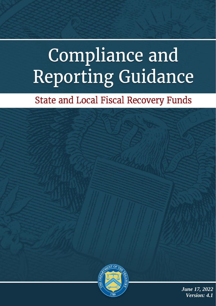# **Compliance and Reporting Guidance**

# **State and Local Fiscal Recovery Funds**



Compliance and Reporting Guidance

1

*June 17, 2022 Version: 4.1*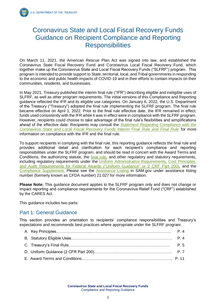# Coronavirus State and Local Fiscal Recovery Funds Guidance on Recipient Compliance and Reporting **Responsibilities**

On March 11, 2021, the American Rescue Plan Act was signed into law, and established the Coronavirus State Fiscal Recovery Fund and Coronavirus Local Fiscal Recovery Fund, which together make up the Coronavirus State and Local Fiscal Recovery Funds ("SLFRF") program. This program is intended to provide support to State, territorial, local, and Tribal governments in responding to the economic and public health impacts of COVID-19 and in their efforts to contain impacts on their communities, residents, and businesses.

In May 2021, Treasury published the interim final rule ("IFR") describing eligible and ineligible uses of SLFRF, as well as other program requirements. The initial versions of this Compliance and Reporting guidance reflected the IFR and its eligible use categories. On January 6, 2022, the U.S. Department of the Treasury ("Treasury") adopted the final rule implementing the SLFRF program. The final rule became effective on April 1, 2022. Prior to the final rule effective date, the IFR remained in effect; funds used consistently with the IFR while it was in effect were in compliance with the SLFRF program. However, recipients could choose to take advantage of the final rule's flexibilities and simplifications ahead of the effective date. Recipients may consult the *[Statement Regarding Compliance with the](https://home.treasury.gov/system/files/136/SLFRF-Compliance-Statement.pdf)  [Coronavirus State and Local Fiscal Recovery Funds Interim Final Rule and Final Rule](https://home.treasury.gov/system/files/136/SLFRF-Compliance-Statement.pdf)* for more information on compliance with the IFR and the final rule.

To support recipients in complying with the final rule, this reporting guidance reflects the final rule and provides additional detail and clarification for each recipient's compliance and reporting responsibilities under the SLFRF program, and should be read in concert with the Award Terms and Conditions, the authorizing statute, the [final rule,](https://www.federalregister.gov/documents/2022/01/27/2022-00292/coronavirus-state-and-local-fiscal-recovery-funds) and other regulatory and statutory requirements, including regulatory requirements under the Uniform Administrative Requirements, Cost Principles, [and Audit Requirements for Federal Awards](https://www.ecfr.gov/current/title-2/subtitle-A/chapter-II/part-200) ("Uniform Guidance" or 2 CRF Part 200), and the Compliance Supplement. Please see the [Assistance Listing](https://sam.gov/fal/7cecfdef62dc42729a3fdcd449bd62b8/view) in SAM.gov under assistance listing number (formerly known as CFDA number) 21.027 for more information.

**Please Note:** This guidance document applies to the SLFRF program only and does not change or impact reporting and compliance requirements for the Coronavirus Relief Fund ("CRF") established by the CARES Act.

This guidance includes two parts:

## Part 1: General Guidance

This section provides an orientation to recipients' compliance responsibilities and Treasury's expectations and recommends best practices where appropriate under the SLFRF program.

**Coronavirus State and Local Fiscal Recovery Funds** Compliance and Reporting Guidance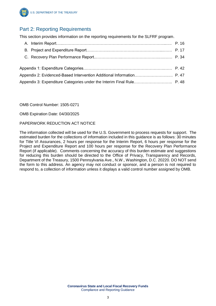

# Part 2: Reporting Requirements

This section provides information on the reporting requirements for the SLFRF program.

| Appendix 3: Expenditure Categories under the Interim Final Rule P. 48 |  |
|-----------------------------------------------------------------------|--|
|                                                                       |  |

OMB Control Number: 1505-0271

OMB Expiration Date: 04/30/2025

#### PAPERWORK REDUCTION ACT NOTICE

The information collected will be used for the U.S. Government to process requests for support. The estimated burden for the collections of information included in this guidance is as follows: 30 minutes for Title VI Assurances, 2 hours per response for the Interim Report, 6 hours per response for the Project and Expenditure Report and 100 hours per response for the Recovery Plan Performance Report (if applicable). Comments concerning the accuracy of this burden estimate and suggestions for reducing this burden should be directed to the Office of Privacy, Transparency and Records, Department of the Treasury, 1500 Pennsylvania Ave., N.W., Washington, D.C. 20220. DO NOT send the form to this address. An agency may not conduct or sponsor, and a person is not required to respond to, a collection of information unless it displays a valid control number assigned by OMB.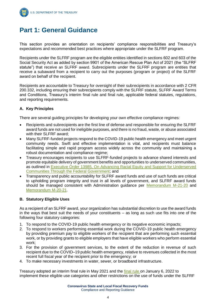

# **Part 1: General Guidance**

This section provides an orientation on recipients' compliance responsibilities and Treasury's expectations and recommended best practices where appropriate under the SLFRF program.

Recipients under the SLFRF program are the eligible entities identified in sections 602 and 603 of the Social Security Act as added by section 9901 of the American Rescue Plan Act of 2021 (the "SLFRF statute") that receive an SLFRF award. Subrecipients under the SLFRF program are entities that receive a subaward from a recipient to carry out the purposes (program or project) of the SLFRF award on behalf of the recipient.

Recipients are accountable to Treasury for oversight of their subrecipients in accordance with 2 CFR 200.332, including ensuring their subrecipients comply with the SLFRF statute, SLFRF Award Terms and Conditions, Treasury's interim final rule and final rule, applicable federal statutes, regulations, and reporting requirements.

#### **A. Key Principles**

There are several guiding principles for developing your own effective compliance regimes:

- Recipients and subrecipients are the first line of defense and responsible for ensuring the SLFRF award funds are not used for ineligible purposes, and there is no fraud, waste, or abuse associated with their SLFRF award:
- Many SLFRF-funded projects respond to the COVID-19 public health emergency and meet urgent community needs. Swift and effective implementation is vital, and recipients must balance facilitating simple and rapid program access widely across the community and maintaining a robust documentation and compliance regime;
- Treasury encourages recipients to use SLFRF-funded projects to advance shared interests and promote equitable delivery of government benefits and opportunities to underserved communities, as outlined in [Executive Order 13985, On Advancing Racial Equity and Support for Underserved](https://www.whitehouse.gov/briefing-room/presidential-actions/2021/01/20/executive-order-advancing-racial-equity-and-support-for-underserved-communities-through-the-federal-government/)  [Communities Through the Federal Government;](https://www.whitehouse.gov/briefing-room/presidential-actions/2021/01/20/executive-order-advancing-racial-equity-and-support-for-underserved-communities-through-the-federal-government/) and
- Transparency and public accountability for SLFRF award funds and use of such funds are critical to upholding program integrity and trust in all levels of government, and SLFRF award funds should be managed consistent with Administration guidance per [Memorandum M-21-20](https://www.whitehouse.gov/wp-content/uploads/2021/03/M_21_20.pdf) and [Memorandum M-20-21.](https://www.whitehouse.gov/wp-content/uploads/2020/04/Implementation-Guidance-for-Supplemental-Funding-Provided-in-Response.pdf)

#### **B. Statutory Eligible Uses**

As a recipient of an SLFRF award, your organization has substantial discretion to use the award funds in the ways that best suit the needs of your constituents – as long as such use fits into one of the following four statutory categories:

- 1. To respond to the COVID-19 public health emergency or its negative economic impacts;
- 2. To respond to workers performing essential work during the COVID-19 public health emergency by providing premium pay to eligible workers of the recipient that are performing such essential work, or by providing grants to eligible employers that have eligible workers who perform essential work;
- 3. For the provision of government services, to the extent of the reduction in revenue of such recipient due to the COVID–19 public health emergency, relative to revenues collected in the most recent full fiscal year of the recipient prior to the emergency; or
- 4. To make necessary investments in water, sewer, or broadband infrastructure.

Treasury adopted an interim final rule in May 2021 and the [final rule o](https://www.federalregister.gov/documents/2022/01/27/2022-00292/coronavirus-state-and-local-fiscal-recovery-funds)n January 6, 2022 to implement these eligible use categories and other restrictions on the use of funds under the SLFRF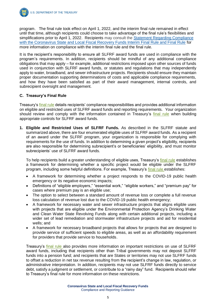

program. The final rule took effect on April 1, 2022, and the interim final rule remained in effect until that time, although recipients could choose to take advantage of the final rule's flexibilities and simplifications prior to April 1, 2022. Recipients may consult the [Statement Regarding Compliance](https://home.treasury.gov/system/files/136/SLFRF-Compliance-Statement.pdf)  [with the Coronavirus State and Local Fiscal Recovery Funds Interim Final Rule and Final Rule](https://home.treasury.gov/system/files/136/SLFRF-Compliance-Statement.pdf) for more information on compliance with the interim final rule and the final rule.

It is the recipient's responsibility to ensure all SLFRF award funds are used in compliance with the program's requirements. In addition, recipients should be mindful of any additional compliance obligations that may apply – for example, additional restrictions imposed upon other sources of funds used in conjunction with SLFRF award funds, or statutes and regulations that may independently apply to water, broadband, and sewer infrastructure projects. Recipients should ensure they maintain proper documentation supporting determinations of costs and applicable compliance requirements, and how they have been satisfied as part of their award management, internal controls, and subrecipient oversight and management.

#### **C. Treasury's Final Rule**

Treasury's [final rule](https://www.federalregister.gov/documents/2022/01/27/2022-00292/coronavirus-state-and-local-fiscal-recovery-funds) details recipients' compliance responsibilities and provides additional information on eligible and restricted uses of SLFRF award funds and reporting requirements. Your organization should review and comply with the information contained in Treasury's [final rule](https://www.federalregister.gov/documents/2022/01/27/2022-00292/coronavirus-state-and-local-fiscal-recovery-funds) when building appropriate controls for SLFRF award funds.

**1. Eligible and Restricted Uses of SLFRF Funds.** As described in the SLFRF statute and summarized above, there are four enumerated eligible uses of SLFRF award funds. As a recipient of an award under the SLFRF program, your organization is responsible for complying with requirements for the use of funds. In addition to determining a given project's eligibility, recipients are also responsible for determining subrecipient's or beneficiaries' eligibility, and must monitor subrecipients' use of SLFRF award funds.

To help recipients build a greater understanding of eligible uses, Treasury's [final rule](https://www.federalregister.gov/documents/2022/01/27/2022-00292/coronavirus-state-and-local-fiscal-recovery-funds) establishes a framework for determining whether a specific project would be eligible under the SLFRF program, including some helpful definitions. For example, Treasury's [final rule e](https://www.federalregister.gov/documents/2022/01/27/2022-00292/coronavirus-state-and-local-fiscal-recovery-funds)stablishes:

- A framework for determining whether a project responds to the COVID-19 public health emergency or its negative economic impacts;
- Definitions of "eligible employers," "essential work," "eligible workers," and "premium pay" for cases where premium pay is an eligible use;
- The option to select between a standard amount of revenue loss or complete a full revenue loss calculation of revenue lost due to the COVID-19 public health emergency;
- A framework for necessary water and sewer infrastructure projects that aligns eligible uses with projects that are eligible under the Environmental Protection Agency's Drinking Water and Clean Water State Revolving Funds along with certain additional projects, including a wider set of lead remediation and stormwater infrastructure projects and aid for residential wells; and
- A framework for necessary broadband projects that allows for projects that are designed to provide service of sufficient speeds to eligible areas, as well as an affordability requirement for providers that provide service to households.

Treasury's [final rule a](https://www.federalregister.gov/documents/2022/01/27/2022-00292/coronavirus-state-and-local-fiscal-recovery-funds)lso provides more information on important restrictions on use of SLFRF award funds, including that recipients other than Tribal governments may not deposit SLFRF funds into a pension fund; and recipients that are States or territories may not use SLFRF funds to offset a reduction in net tax revenue resulting from the recipient's change in law, regulation, or administrative interpretation. In addition, recipients may not use SLFRF funds directly to service debt, satisfy a judgment or settlement, or contribute to a "rainy day" fund. Recipients should refer to Treasury's final rule for more information on these restrictions.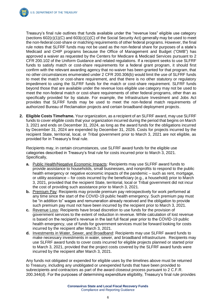Treasury's final rule outlines that funds available under the "revenue loss" eligible use category (sections 602(c)(1)(C) and 603(c)(1)(C) of the Social Security Act) generally may be used to meet the non-federal cost-share or matching requirements of other federal programs. However, the final rule notes that SLFRF funds may not be used as the non-federal share for purposes of a state's Medicaid and CHIP programs because the Office of Management and Budget ("OMB") has approved a waiver as requested by the Centers for Medicare & Medicaid Services pursuant to 2 CFR 200.102 of the Uniform Guidance and related regulations. If a recipient seeks to use SLFRF funds to satisfy match or cost-share requirements for a federal grant program, it should first confirm with the relevant awarding agency that no waiver has been granted for that program, that no other circumstances enumerated under 2 CFR 200.306(b) would limit the use of SLFRF funds to meet the match or cost-share requirement, and that there is no other statutory or regulatory impediment to using the SLFRF funds for the match or cost-share requirement. SLFRF funds beyond those that are available under the revenue loss eligible use category may not be used to meet the non-federal match or cost-share requirements of other federal programs, other than as specifically provided for by statute. For example, the Infrastructure Investment and Jobs Act provides that SLFRF funds may be used to meet the non-federal match requirements of authorized Bureau of Reclamation projects and certain broadband deployment projects.

**2. Eligible Costs Timeframe.** Your organization, as a recipient of an SLFRF award, may use SLFRF funds to cover eligible costs that your organization incurred during the period that begins on March 3, 2021 and ends on December 31, 2024, as long as the award funds for the obligations incurred by December 31, 2024 are expended by December 31, 2026. Costs for projects incurred by the recipient State, territorial, local, or Tribal government prior to March 3, 2021 are not eligible, as provided for in Treasury's final rule.

Recipients may, in certain circumstances, use SLFRF award funds for the eligible use categories described in Treasury's final rule for costs incurred prior to March 3, 2021. Specifically,

- **a.** Public Health/Negative Economic Impacts: Recipients may use SLFRF award funds to provide assistance to households, small businesses, and nonprofits to respond to the public health emergency or negative economic impacts of the pandemic – such as rent, mortgage, or utility assistance – for costs incurred by the beneficiary (e.g., a household) prior to March 3, 2021, provided that the recipient State, territorial, local or Tribal government did not incur the cost of providing such assistance prior to March 3, 2021.
- **b.** Premium Pay: Recipients may provide premium pay retrospectively for work performed at any time since the start of the COVID-19 public health emergency. Such premium pay must be "in addition to" wages and remuneration already received and the obligation to provide such premium pay must not have been incurred by the recipient prior to March 3, 2021.
- **c.** Revenue Loss: Recipients have broad discretion to use funds for the provision of government services to the extent of reduction in revenue. While calculation of lost revenue is based on the recipient's revenue in the last full fiscal year prior to the COVID-19 public health emergency, use of funds for government services must be forward looking for costs incurred by the recipient after March 3, 2021.
- **d.** Investments in Water, Sewer, and Broadband: Recipients may use SLFRF award funds to make necessary investments in water, sewer, and broadband infrastructure. Recipients may use SLFRF award funds to cover costs incurred for eligible projects planned or started prior to March 3, 2021, provided that the project costs covered by the SLFRF award funds were incurred by the recipient after March 3, 2021.

Any funds not obligated or expended for eligible uses by the timelines above must be returned to Treasury, including any unobligated or unexpended funds that have been provided to subrecipients and contractors as part of the award closeout process pursuant to 2 C.F.R. 200.344(d). For the purposes of determining expenditure eligibility, Treasury's final rule provides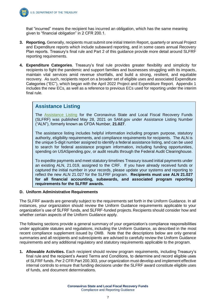

that "incurred" means the recipient has incurred an obligation, which has the same meaning given to "financial obligation" in 2 CFR 200.1.

- **3. Reporting.** Generally, recipients must submit one initial Interim Report, quarterly or annual Project and Expenditure reports which include subaward reporting, and in some cases annual Recovery Plan reports. Treasury's final rule and Part 2 of this guidance provide more detail around SLFRF reporting requirements.
- **4. Expenditure Categories**. Treasury's final rule provides greater flexibility and simplicity for recipients to fight the pandemic and support families and businesses struggling with its impacts, maintain vital services amid revenue shortfalls, and build a strong, resilient, and equitable recovery. As such, recipients report on a broader set of eligible uses and associated Expenditure Categories ("EC"), which began with the April 2022 Project and Expenditure Report. Appendix 1 includes the new ECs, as well as a reference to previous ECs used for reporting under the interim final rule.

## **Assistance Listing**

The Assistance Listing for the Coronavirus State and Local Fiscal Recovery Funds (SLFRF) was published May 28, 2021 on SAM.gov under Assistance Listing Number ("ALN"), formerly known as CFDA Number, **21.027**.

The assistance listing includes helpful information including program purpose, statutory authority, eligibility requirements, and compliance requirements for recipients. The ALN is the unique 5-digit number assigned to identify a federal assistance listing, and can be used to search for federal assistance program information, including funding opportunities, spending on USASpending.gov, or audit results through the Federal Audit Clearinghouse.

To expedite payments and meet statutory timelines Treasury issued initial payments under an existing ALN, 21.019, assigned to the CRF. If you have already received funds or captured the initial number in your records, please update your systems and reporting to reflect the new ALN 21.027 for the SLFRF program. **Recipients must use ALN 21.027 for all financial accounting, subawards, and associated program reporting requirements for the SLFRF awards.**

#### **D. Uniform Administrative Requirements**

The SLFRF awards are generally subject to the requirements set forth in the Uniform Guidance. In all instances, your organization should review the Uniform Guidance requirements applicable to your organization's use of SLFRF funds, and SLFRF-funded projects. Recipients should consider how and whether certain aspects of the Uniform Guidance apply.

The following sections provide a general summary of your organization's compliance responsibilities under applicable statutes and regulations, including the Uniform Guidance, as described in the most recent compliance supplement issued by OMB. Note that the descriptions below are only general summaries and all recipients and subrecipients are advised to carefully review the Uniform Guidance requirements and any additional regulatory and statutory requirements applicable to the program.

**1. Allowable Activities.** Each recipient should review program requirements, including Treasury's final rule and the recipient's Award Terms and Conditions, to determine and record eligible uses of SLFRF funds. Per 2 CFR Part 200.303, your organization must develop and implement effective internal controls to ensure that funding decisions under the SLFRF award constitute eligible uses of funds, and document determinations.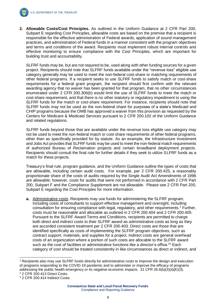

**2. Allowable Costs/Cost Principles.** As outlined in the Uniform Guidance at 2 CFR Part 200, Subpart E regarding Cost Principles, allowable costs are based on the premise that a recipient is responsible for the effective administration of Federal awards, application of sound management practices, and administration of Federal funds in a manner consistent with the program objectives and terms and conditions of the award. Recipients must implement robust internal controls and effective monitoring to ensure compliance with the Cost Principles, which are important for building trust and accountability.

SLFRF funds may be, but are not required to be, used along with other funding sources for a given project. Recipients should note that SLFRF funds available under the "revenue loss" eligible use category generally may be used to meet the non-federal cost-share or matching requirements of other federal programs. If a recipient seeks to use SLFRF funds to satisfy match or cost-share requirements for a federal grant program, the recipient should first confirm with the relevant awarding agency that no waiver has been granted for that program, that no other circumstances enumerated under 2 CFR 200.306(b) would limit the use of SLFRF funds to meet the match or cost-share requirement, and that there is no other statutory or regulatory impediment to using the SLFRF funds for the match or cost-share requirement. For instance, recipients should note that SLFRF funds may not be used as the non-federal share for purposes of a state's Medicaid and CHIP programs because the OMB has approved a waiver from this provision as requested by the Centers for Medicare & Medicaid Services pursuant to 2 CFR 200.102 of the Uniform Guidance and related regulations.

SLFRF funds beyond those that are available under the revenue loss eligible use category may not be used to meet the non-federal match or cost-share requirements of other federal programs, other than as specifically provided for by statute. As an example, the Infrastructure Investment and Jobs Act provides that SLFRF funds may be used to meet the non-federal match requirements of authorized Bureau of Reclamation projects and certain broadband deployment projects. Recipients should consult the final rule for further details if they seek to utilize SLFRF funds as a match for these projects.

Treasury's final rule, program guidance, and the Uniform Guidance outline the types of costs that are allowable, including certain audit costs. For example, per 2 CFR 200.425, a reasonably proportionate share of the costs of audits required by the Single Audit Act Amendments of 1996 are allowable; however, costs for audits that were not performed in accordance with 2 CFR Part 200, Subpart F and the Compliance Supplement are not allowable. Please see 2 CFR Part 200, Subpart E regarding the Cost Principles for more information.

**a.** Administrative costs*:* Recipients may use funds for administering the SLFRF program, including costs of consultants to support effective management and oversight, including consultation for ensuring compliance with legal, regulatory, and other requirements.<sup>1</sup> Further, costs must be reasonable and allocable as outlined in 2 CFR 200.404 and 2 CFR 200.405. Pursuant to the SLFRF Award Terms and Conditions, recipients are permitted to charge both direct and indirect costs to their SLFRF award as administrative costs as long as they are accorded consistent treatment per 2 CFR 200.403. Direct costs are those that are identified specifically as costs of implementing the SLFRF program objectives, such as contract support, materials, and supplies for a project. Indirect costs are general overhead costs of an organization where a portion of such costs are allocable to the SLFRF award such as the cost of facilities or administrative functions like a director's office.<sup>23</sup> Each category of cost should be treated consistently in like circumstances as direct or indirect, and

-

<sup>1</sup> Recipients also may use SLFRF funds directly for administrative costs to improve the design and execution of programs responding to the COVID-19 pandemic and to administer or improve the efficacy of programs addressing the public health emergency or its negative economic impacts. 31 CFR 35.6(b)(3)(ii)(E)(3). <sup>2</sup> 2 CFR 200.413 Direct Costs.

<sup>3</sup> 2 CFR 200.414 Indirect Costs.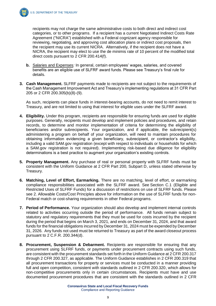

recipients may not charge the same administrative costs to both direct and indirect cost categories, or to other programs. If a recipient has a current Negotiated Indirect Costs Rate Agreement ("NICRA") established with a Federal cognizant agency responsible for reviewing, negotiating, and approving cost allocation plans or indirect cost proposals, then the recipient may use its current NICRA. Alternatively, if the recipient does not have a NICRA, the recipient may elect to use the de minimis rate of 10 percent of the modified total direct costs pursuant to 2 CFR 200.414(f).

- **b.** Salaries and Expenses*:* In general, certain employees' wages, salaries, and covered benefits are an eligible use of SLFRF award funds. Please see Treasury's final rule for details.
- **3. Cash Management.** SLFRF payments made to recipients are not subject to the requirements of the Cash Management Improvement Act and Treasury's implementing regulations at 31 CFR Part 205 or 2 CFR 200.305(b)(8)-(9).

As such, recipients can place funds in interest-bearing accounts, do not need to remit interest to Treasury, and are not limited to using that interest for eligible uses under the SLFRF award.

- **4. Eligibility.** Under this program, recipients are responsible for ensuring funds are used for eligible purposes. Generally, recipients must develop and implement policies and procedures, and retain records, to determine and monitor implementation of criteria for determining the eligibility of beneficiaries and/or subrecipients. Your organization, and if applicable, the subrecipient(s) administering a program on behalf of your organization, will need to maintain procedures for obtaining information evidencing a given beneficiary, subrecipient, or contractor's eligibility, including a valid SAM.gov registration (except with respect to individuals or households for which a SAM.gov registration is not required). Implementing risk-based due diligence for eligibility determinations is a best practice to augment your organization's existing controls.
- **5. Property Management.** Any purchase of real or personal property with SLFRF funds must be consistent with the Uniform Guidance at 2 CFR Part 200, Subpart D, unless stated otherwise by Treasury.
- **6. Matching, Level of Effort, Earmarking.** There are no matching, level of effort, or earmarking compliance responsibilities associated with the SLFRF award. See Section C.1 (Eligible and Restricted Uses of SLFRF Funds) for a discussion of restrictions on use of SLFRF funds. Please see 2. Allowable Costs/Cost Principles above for information on the use of SLFRF funds for non-Federal match or cost-sharing requirements in other Federal programs.
- **7. Period of Performance.** Your organization should also develop and implement internal controls related to activities occurring outside the period of performance. All funds remain subject to statutory and regulatory requirements that they must be used for costs incurred by the recipient during the period that begins on March 3, 2021, and ends on December 31, 2024, and that award funds for the financial obligations incurred by December 31, 2024 must be expended by December 31, 2026. Any funds not used must be returned to Treasury as part of the award closeout process pursuant to 2 C.F.R. 200.344(d).
- **8. Procurement, Suspension & Debarment.** Recipients are responsible for ensuring that any procurement using SLFRF funds, or payments under procurement contracts using such funds, are consistent with the procurement standards set forth in the Uniform Guidance at 2 CFR 200.317 through 2 CFR 200.327, as applicable. The Uniform Guidance establishes in 2 CFR 200.319 that all procurement transactions for property or services must be conducted in a manner providing full and open competition, consistent with standards outlined in 2 CFR 200.320, which allows for non-competitive procurements only in certain circumstances. Recipients must have and use documented procurement procedures that are consistent with the standards outlined in 2 CFR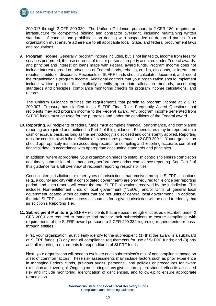200.317 through 2 CFR 200.320. The Uniform Guidance, pursuant to 2 CFR 180, requires an infrastructure for competitive bidding and contractor oversight, including maintaining written standards of conduct and prohibitions on dealing with suspended or debarred parties. Your organization must ensure adherence to all applicable local, State, and federal procurement laws and regulations.

**9. Program Income.** Generally, program income includes, but is not limited to, income from fees for services performed, the use or rental of real or personal property acquired under Federal awards, and principal and interest on loans made with Federal award funds. Program income does not include interest earned on advances of Federal funds, rebates, credits, discounts, or interest on rebates, credits, or discounts. Recipients of SLFRF funds should calculate, document, and record the organization's program income. Additional controls that your organization should implement include written policies that explicitly identify appropriate allocation methods, accounting standards and principles, compliance monitoring checks for program income calculations, and records.

The Uniform Guidance outlines the requirements that pertain to program income at 2 CFR 200.307. Treasury has clarified in its SLFRF Final Rule: Frequently Asked Questions that recipients may add program income to the Federal award. Any program income generated from SLFRF funds must be used for the purposes and under the conditions of the Federal award.

**10. Reporting.** All recipients of federal funds must complete financial, performance, and compliance reporting as required and outlined in Part 2 of this guidance. Expenditures may be reported on a cash or accrual basis, as long as the methodology is disclosed and consistently applied. Reporting must be consistent with the definition of expenditures pursuant to 2 CFR 200.1. Your organization should appropriately maintain accounting records for compiling and reporting accurate, compliant financial data, in accordance with appropriate accounting standards and principles.

In addition, where appropriate, your organization needs to establish controls to ensure completion and timely submission of all mandatory performance and/or compliance reporting. See Part 2 of this guidance for a full overview of recipient reporting responsibilities.

Consolidated jurisdictions or other types of jurisdictions that received multiple SLFRF allocations (e.g., a county and city with a consolidated government) are only required to file once per reporting period, and such reports will cover the total SLFRF allocations received by the jurisdiction. This includes Non-entitlement units of local government ("NEUs") and/or Units of general local government located within counties that are not units of general local government. In addition, the total SLFRF allocations across all sources for a given jurisdiction will be used to identify that jurisdiction's Reporting Tier.

**11. Subrecipient Monitoring.** SLFRF recipients that are pass-through entities as described under 2 CFR 200.1 are required to manage and monitor their subrecipients to ensure compliance with requirements of the SLFRF award pursuant to 2 CFR 200.332 regarding requirements for passthrough entities.

First, your organization must clearly identify to the subrecipient: (1) that the award is a subaward of SLFRF funds; (2) any and all compliance requirements for use of SLFRF funds; and (3) any and all reporting requirements for expenditures of SLFRF funds.

Next, your organization will need to evaluate each subrecipient's risk of noncompliance based on a set of common factors. These risk assessments may include factors such as prior experience in managing Federal funds, previous audits, personnel, and policies or procedures for award execution and oversight. Ongoing monitoring of any given subrecipient should reflect its assessed risk and include monitoring, identification of deficiencies, and follow-up to ensure appropriate remediation.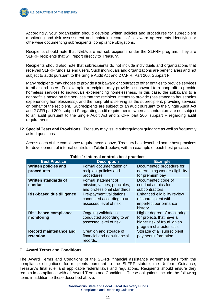

Accordingly, your organization should develop written policies and procedures for subrecipient monitoring and risk assessment and maintain records of all award agreements identifying or otherwise documenting subrecipients' compliance obligations.

Recipients should note that NEUs are not subrecipients under the SLFRF program. They are SLFRF recipients that will report directly to Treasury.

Recipients should also note that subrecipients do not include individuals and organizations that received SLFRF funds as end users. Such individuals and organizations are beneficiaries and not subject to audit pursuant to the Single Audit Act and 2 C.F.R. Part 200, Subpart F.

Many recipients may choose to provide a subaward or contract to other entities to provide services to other end users. For example, a recipient may provide a subaward to a nonprofit to provide homeless services to individuals experiencing homelessness. In this case, the subaward to a nonprofit is based on the services that the recipient intends to provide (assistance to households experiencing homelessness), and the nonprofit is serving as the subrecipient, providing services on behalf of the recipient. Subrecipients are subject to an audit pursuant to the Single Audit Act and 2 CFR part 200, subpart F regarding audit requirements, whereas contractors are not subject to an audit pursuant to the Single Audit Act and 2 CFR part 200, subpart F regarding audit requirements.

**12. Special Tests and Provisions.** Treasury may issue subregulatory guidance as well as frequently asked questions.

| Table 1: Internal controls best practices  |                                                                                   |                                                                                                                   |  |  |  |
|--------------------------------------------|-----------------------------------------------------------------------------------|-------------------------------------------------------------------------------------------------------------------|--|--|--|
| <b>Best Practice</b>                       | <b>Description</b><br><b>Example</b>                                              |                                                                                                                   |  |  |  |
| <b>Written policies and</b><br>procedures  | Formal documentation of<br>recipient policies and<br>procedures                   | Documented procedure for<br>determining worker eligibility<br>for premium pay                                     |  |  |  |
| Written standards of<br>conduct            | Formal statement of<br>mission, values, principles,<br>and professional standards | Documented code of<br>conduct / ethics for<br>subcontractors                                                      |  |  |  |
| <b>Risk-based due diligence</b>            | Pre-payment validations<br>conducted according to an<br>assessed level of risk    | Enhanced eligibility review<br>of subrecipient with<br>imperfect performance<br>history                           |  |  |  |
| <b>Risk-based compliance</b><br>monitoring | Ongoing validations<br>conducted according to an<br>assessed level of risk        | Higher degree of monitoring<br>for projects that have a<br>higher risk of fraud, given<br>program characteristics |  |  |  |
| <b>Record maintenance and</b><br>retention | Creation and storage of<br>financial and non-financial<br>records.                | Storage of all subrecipient<br>payment information.                                                               |  |  |  |

Across each of the compliance requirements above, Treasury has described some best practices for development of internal controls in **Table 1** below, with an example of each best practice.

#### **E. Award Terms and Conditions**

The Award Terms and Conditions of the SLFRF financial assistance agreement sets forth the compliance obligations for recipients pursuant to the SLFRF statute, the Uniform Guidance, Treasury's final rule, and applicable federal laws and regulations. Recipients should ensure they remain in compliance with all Award Terms and Conditions. These obligations include the following items in addition to those described above: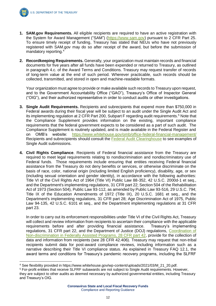

-

- **1. SAM.gov Requirements.** All eligible recipients are required to have an active registration with the System for Award Management ("SAM") [\(https://www.sam.gov\)](https://www.sam.gov/) pursuant to 2 CFR Part 25. To ensure timely receipt of funding, Treasury has stated that NEUs who have not previously registered with SAM.gov may do so after receipt of the award, but before the submission of mandatory reporting.<sup>4</sup>
- **2. Recordkeeping Requirements.** Generally, your organization must maintain records and financial documents for five years after all funds have been expended or returned to Treasury, as outlined in paragraph 4.c. of the Award Terms and Conditions. Treasury may request transfer of records of long-term value at the end of such period. Wherever practicable, such records should be collected, transmitted, and stored in open and machine-readable formats.

Your organization must agree to provide or make available such records to Treasury upon request, and to the Government Accountability Office ("GAO"), Treasury's Office of Inspector General ("OIG"), and their authorized representative in order to conduct audits or other investigations.

- **3. Single Audit Requirements.** Recipients and subrecipients that expend more than \$750,000 in Federal awards during their fiscal year will be subject to an audit under the Single Audit Act and its implementing regulation at 2 CFR Part 200, Subpart F regarding audit requirements.<sup>5</sup> Note that the Compliance Supplement provides information on the existing, important compliance requirements that the federal government expects to be considered as a part of such audit. The Compliance Supplement is routinely updated, and is made available in the Federal Register and on OMB's website: <https://www.whitehouse.gov/omb/office-federal-financial-management/> Recipients and subrecipients should consult the [Federal Audit Clearinghouse](https://facweb.census.gov/uploadpdf.aspx) to see examples of Single Audit submissions.
- **4. Civil Rights Compliance**. Recipients of Federal financial assistance from the Treasury are required to meet legal requirements relating to nondiscrimination and nondiscriminatory use of Federal funds. Those requirements include ensuring that entities receiving Federal financial assistance from the Treasury do not deny benefits or services, or otherwise discriminate on the basis of race, color, national origin (including limited English proficiency), disability, age, or sex (including sexual orientation and gender identity), in accordance with the following authorities: Title VI of the Civil Rights Act of 1964 (Title VI) Public Law 88-352, 42 U.S.C. 2000d-1 et seq., and the Department's implementing regulations, 31 CFR part 22; Section 504 of the Rehabilitation Act of 1973 (Section 504), Public Law 93-112, as amended by Public Law 93-516, 29 U.S.C. 794; Title IX of the Education Amendments of 1972 (Title IX), 20 U.S.C. 1681 et seq., and the Department's implementing regulations, 31 CFR part 28; Age Discrimination Act of 1975, Public Law 94-135, 42 U.S.C. 6101 et seq., and the Department implementing regulations at 31 CFR part 23.

In order to carry out its enforcement responsibilities under Title VI of the Civil Rights Act, Treasury will collect and review information from recipients to ascertain their compliance with the applicable requirements before and after providing financial assistance. Treasury's implementing regulations, 31 CFR part 22, and the Department of Justice (DOJ) regulations, [Coordination of](https://www.justice.gov/crt/28-cfr-42401-42415)  [Non-discrimination in Federally Assisted Programs, 28 CFR part 42,](https://www.justice.gov/crt/28-cfr-42401-42415) provide for the collection of data and information from recipients (see 28 CFR 42.406). Treasury may request that non-tribal recipients submit data for post-award compliance reviews, including information such as a narrative describing their Title VI compliance status. As explained in Treasury FAQ 12.1, the award terms and conditions for Treasury's pandemic recovery programs, including the SLFRF

<sup>4</sup> See flexibility provided in https://www.whitehouse.gov/wp-content/uploads/2021/03/M\_21\_20.pdf.

<sup>5</sup> For-profit entities that receive SLFRF subawards are not subject to Single Audit requirements. However, they are subject to other audits as deemed necessary by authorized governmental entities, including Treasury and Treasury's OIG.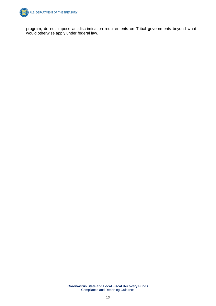

program, do not impose antidiscrimination requirements on Tribal governments beyond what would otherwise apply under federal law.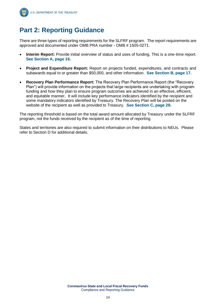

# **Part 2: Reporting Guidance**

There are three types of reporting requirements for the SLFRF program. The report requirements are approved and documented under OMB PRA number - OMB # 1505-0271.

- **Interim Report:** Provide initial overview of status and uses of funding. This is a one-time report. **See Section A, page 16.**
- **Project and Expenditure Report:** Report on projects funded, expenditures, and contracts and subawards equal to or greater than \$50,000, and other information. **See Section B, page 17.**
- **Recovery Plan Performance Report:** The Recovery Plan Performance Report (the "Recovery Plan") will provide information on the projects that large recipients are undertaking with program funding and how they plan to ensure program outcomes are achieved in an effective, efficient, and equitable manner. It will include key performance indicators identified by the recipient and some mandatory indicators identified by Treasury. The Recovery Plan will be posted on the website of the recipient as well as provided to Treasury. **See Section C, page 28.**

The reporting threshold is based on the total award amount allocated by Treasury under the SLFRF program, not the funds received by the recipient as of the time of reporting.

States and territories are also required to submit information on their distributions to NEUs. Please refer to Section D for additional details.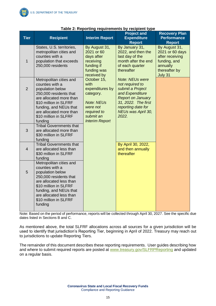| <b>Tier</b>    | <b>Recipient</b>                                                                                                                                                                                                                      | <b>Interim Report</b>                                                                                                                     | . <i>.</i> .<br><b>Project and</b><br><b>Expenditure</b><br><b>Report</b>                                                                                                                | <b>Recovery Plan</b><br><b>Performance</b><br><b>Report</b>                                                 |
|----------------|---------------------------------------------------------------------------------------------------------------------------------------------------------------------------------------------------------------------------------------|-------------------------------------------------------------------------------------------------------------------------------------------|------------------------------------------------------------------------------------------------------------------------------------------------------------------------------------------|-------------------------------------------------------------------------------------------------------------|
| $\mathbf{1}$   | States, U.S. territories,<br>metropolitan cities and<br>counties with a<br>population that exceeds<br>250,000 residents                                                                                                               | By August 31,<br>2021 or 60<br>days after<br>receiving<br>funding if<br>funding was<br>received by                                        | By January 31,<br>2022, and then the<br>last day of the<br>month after the end<br>of each quarter<br>thereafter                                                                          | By August 31,<br>2021 or 60 days<br>after receiving<br>funding, and<br>annually<br>thereafter by<br>July 31 |
| $\overline{2}$ | Metropolitan cities and<br>counties with a<br>population below<br>250,000 residents that<br>are allocated more than<br>\$10 million in SLFRF<br>funding, and NEUs that<br>are allocated more than<br>\$10 million in SLFRF<br>funding | October 15,<br>with<br>expenditures by<br>category.<br><b>Note: NEUs</b><br>were not<br>required to<br>submit an<br><b>Interim Report</b> | <b>Note: NEUs were</b><br>not required to<br>submit a Project<br>and Expenditure<br><b>Report on January</b><br>31, 2022. The first<br>reporting date for<br>NEUs was April 30,<br>2022. |                                                                                                             |
| 3              | <b>Tribal Governments that</b><br>are allocated more than<br>\$30 million in SLFRF<br>funding                                                                                                                                         |                                                                                                                                           |                                                                                                                                                                                          |                                                                                                             |
| $\overline{4}$ | <b>Tribal Governments that</b><br>are allocated less than<br>\$30 million in SLFRF<br>funding                                                                                                                                         |                                                                                                                                           | By April 30, 2022,<br>and then annually<br>thereafter                                                                                                                                    |                                                                                                             |
| 5              | Metropolitan cities and<br>counties with a<br>population below<br>250,000 residents that<br>are allocated less than<br>\$10 million in SLFRF<br>funding, and NEUs that<br>are allocated less than<br>\$10 million in SLFRF<br>funding |                                                                                                                                           |                                                                                                                                                                                          |                                                                                                             |

#### **Table 2: Reporting requirements by recipient type**

Note: Based on the period of performance, reports will be collected through April 30, 2027. See the specific due dates listed in Sections B and C.

As mentioned above, the total SLFRF allocations across all sources for a given jurisdiction will be used to identify that jurisdiction's Reporting Tier, beginning in April of 2022. Treasury may reach out to jurisdictions to update Reporting Tiers.

The remainder of this document describes these reporting requirements. User guides describing how and where to submit required reports are posted at [www.treasury.gov/SLFRPReporting](http://www.treasury.gov/SLFRPReporting) and updated on a regular basis.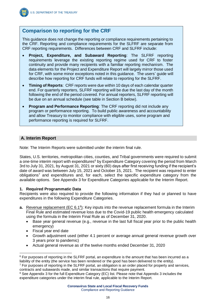

# **Comparison to reporting for the CRF**

This guidance does not change the reporting or compliance requirements pertaining to the CRF. Reporting and compliance requirements for the SLFRF are separate from CRF reporting requirements. Differences between CRF and SLFRF include:

- **Project, Expenditure, and Subaward Reporting**: The SLFRF reporting requirements leverage the existing reporting regime used for CRF to foster continuity and provide many recipients with a familiar reporting mechanism. The data elements for the Project and Expenditure Report will largely mirror those used for CRF, with some minor exceptions noted in this guidance. The users' guide will describe how reporting for CRF funds will relate to reporting for the SLFRF.
- **Timing of Reports**: CRF reports were due within 10 days of each calendar quarter end. For quarterly reporters, SLFRF reporting will be due the last day of the month following the end of the period covered. For annual reporters, SLFRF reporting will be due on an annual schedule (see table in Section B below).
- **Program and Performance Reporting**: The CRF reporting did not include any program or performance reporting. To build public awareness and accountability and allow Treasury to monitor compliance with eligible uses, some program and performance reporting is required for SLFRF.

## **A. Interim Report**

Note: The Interim Reports were submitted under the interim final rule.

States, U.S. territories, metropolitan cities, counties, and Tribal governments were required to submit a one-time interim report with expenditures<sup>6</sup> by Expenditure Category covering the period from March 3rd to July 31, 2021, by August 31, 2021 or sixty (60) days after first receiving funding if the recipient's date of award was between July 15, 2021 and October 15, 2021. The recipient was required to enter  $obligations<sup>7</sup>$  and expenditures and, for each, select the specific expenditure category from the available options. See Appendix 3 for Expenditure Categories applicable for the Interim Report.

#### **1. Required Programmatic Data**

Recipients were also required to provide the following information if they had or planned to have expenditures in the following Expenditure Categories.

- **a.** Revenue replacement (EC 6.1<sup>8</sup>): Key inputs into the revenue replacement formula in the Interim Final Rule and estimated revenue loss due to the Covid-19 public health emergency calculated using the formula in the Interim Final Rule as of December 31, 2020.
	- Base year general revenue (e.g., revenue in the last full fiscal year prior to the public health emergency)
	- Fiscal year end date

 $\overline{a}$ 

- Growth adjustment used (either 4.1 percent or average annual general revenue growth over 3 years prior to pandemic)
- Actual general revenue as of the twelve months ended December 31, 2020

 $6$  For purposes of reporting in the SLFRF portal, an expenditure is the amount that has been incurred as a liability of the entity (the service has been rendered or the good has been delivered to the entity).

<sup>7</sup> For purposes of reporting in the SLFRF portal, an obligation is an order placed for property and services, contracts and subawards made, and similar transactions that require payment.

<sup>&</sup>lt;sup>8</sup> See Appendix 3 for the full Expenditure Category (EC) list. Please note that Appendix 3 includes the expenditure categories under the interim final rule, applicable to the Interim Report.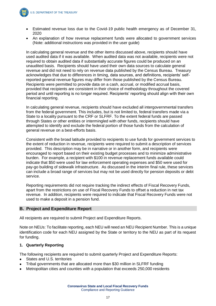

- Estimated revenue loss due to the Covid-19 public health emergency as of December 31, 2020
- An explanation of how revenue replacement funds were allocated to government services (Note: additional instructions was provided in the user guide)

In calculating general revenue and the other items discussed above, recipients should have used audited data if it was available. When audited data was not available, recipients were not required to obtain audited data if substantially accurate figures could be produced on an unaudited basis. Recipients should have used their own data sources to calculate general revenue and did not need to rely on revenue data published by the Census Bureau. Treasury acknowledges that due to differences in timing, data sources, and definitions, recipients' selfreported general revenue figures may differ from those published by the Census Bureau. Recipients were permitted to provide data on a cash, accrual, or modified accrual basis, provided that recipients are consistent in their choice of methodology throughout the covered period and until reporting is no longer required. Recipients' reporting should align with their own financial reporting.

In calculating general revenue, recipients should have excluded all intergovernmental transfers from the federal government. This includes, but is not limited to, federal transfers made via a State to a locality pursuant to the CRF or SLFRF. To the extent federal funds are passed through States or other entities or intermingled with other funds, recipients should have attempted to identify and exclude the federal portion of those funds from the calculation of general revenue on a best-efforts basis.

Consistent with the broad latitude provided to recipients to use funds for government services to the extent of reduction in revenue, recipients were required to submit a description of services provided. This description may be in narrative or in another form, and recipients were encouraged to report based on their existing budget processes and to minimize administrative burden. For example, a recipient with \$100 in revenue replacement funds available could indicate that \$50 were used for law enforcement operating expenses and \$50 were used for pay-go building of sidewalk infrastructure. As discussed in the interim final rule, these services can include a broad range of services but may not be used directly for pension deposits or debt service.

Reporting requirements did not require tracking the indirect effects of Fiscal Recovery Funds, apart from the restrictions on use of Fiscal Recovery Funds to offset a reduction in net tax revenue. In addition, recipients were required to indicate that Fiscal Recovery Funds were not used to make a deposit in a pension fund.

#### **B. Project and Expenditure Report**

All recipients are required to submit Project and Expenditure Reports.

Note on NEUs: To facilitate reporting, each NEU will need an NEU Recipient Number. This is a unique identification code for each NEU assigned by the State or territory to the NEU as part of its request for funding.

#### **1. Quarterly Reporting**

The following recipients are required to submit quarterly Project and Expenditure Reports:

- States and U.S. territories
- Tribal governments that are allocated more than \$30 million in SLFRF funding
- Metropolitan cities and counties with a population that exceeds 250,000 residents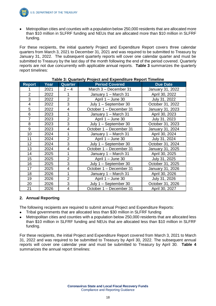

**U.S. DEPARTMENT OF THE TREASURY** 

• Metropolitan cities and counties with a population below 250,000 residents that are allocated more than \$10 million in SLFRF funding and NEUs that are allocated more than \$10 million in SLFRF funding.

For these recipients, the initial quarterly Project and Expenditure Report covers three calendar quarters from March 3, 2021 to December 31, 2021 and was required to be submitted to Treasury by January 31, 2022. The subsequent quarterly reports will cover one calendar quarter and must be submitted to Treasury by the last day of the month following the end of the period covered. Quarterly reports are not due concurrently with applicable annual reports. **Table 3** summarizes the quarterly report timelines:

| <b>Report</b>  | Year | <b>Quarter</b>          | <b>Period Covered</b>                     | <b>Due Date</b>  |
|----------------|------|-------------------------|-------------------------------------------|------------------|
|                | 2021 | $2 - 4$                 | March 3 - December 31                     | January 31, 2022 |
| $\overline{2}$ | 2022 |                         | January 1 - March 31                      | April 30, 2022   |
| 3              | 2022 | $\overline{2}$          | April 1 - June 30                         | July 31, 2022    |
| 4              | 2022 | 3                       | July 1 - September 30                     | October 31, 2022 |
| 5              | 2022 | $\overline{\mathbf{4}}$ | October 1 - December 31                   | January 31, 2023 |
| 6              | 2023 | 1                       | January 1 - March 31                      | April 30, 2023   |
| $\overline{7}$ | 2023 | $\overline{2}$          | April 1 - June 30                         | July 31, 2023    |
| 8              | 2023 | 3                       | July 1 - September 30                     | October 31, 2023 |
| 9              | 2023 | 4                       | October 1 - December 31                   | January 31, 2024 |
| 10             | 2024 | 1                       | January 1 - March 31                      | April 30, 2024   |
| 11             | 2024 | $\overline{2}$          | April 1 - June 30                         | July 31, 2024    |
| 12             | 2024 | 3                       | July 1 - September 30                     | October 31, 2024 |
| 13             | 2024 | 4                       | October 1 - December 31                   | January 31, 2025 |
| 14             | 2025 |                         | January 1 - March 31                      | April 30, 2025   |
| 15             | 2025 | $\overline{2}$          | April 1 - June 30                         | July 31, 2025    |
| 16             | 2025 | 3                       | July 1 - September 30                     | October 31, 2025 |
| 17             | 2025 | 4                       | October 1 - December 31                   | January 31, 2026 |
| 18             | 2026 | 1                       | January 1 - March 31                      | April 30, 2026   |
| 19             | 2026 | $\overline{2}$          | April 1 - June 30                         | July 31, 2026    |
| 20             | 2026 | 3                       | July 1 - September 30<br>October 31, 2026 |                  |
| 21             | 2026 | 4                       | October 1 - December 31                   | April 30, 2027   |

#### **Table 3: Quarterly Project and Expenditure Report Timeline**

#### **2. Annual Reporting**

The following recipients are required to submit annual Project and Expenditure Reports:

- Tribal governments that are allocated less than \$30 million in SLFRF funding
- Metropolitan cities and counties with a population below 250,000 residents that are allocated less than \$10 million in SLFRF funding and NEUs that are allocated less than \$10 million in SLFRF funding.

For these recipients, the initial Project and Expenditure Report covered from March 3, 2021 to March 31, 2022 and was required to be submitted to Treasury by April 30, 2022. The subsequent annual reports will cover one calendar year and must be submitted to Treasury by April 30. **Table 4** summarizes the annual report timelines: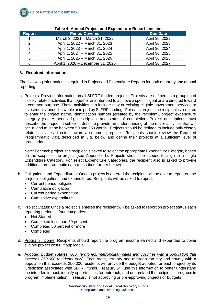

| <b>Report</b> | <b>Period Covered</b>             | <b>Due Date</b> |
|---------------|-----------------------------------|-----------------|
|               | March 3, 2021 - March 31, 2022    | April 30, 2022  |
| ົ             | April 1, 2022 – March 31, 2023    | April 30, 2023  |
| 3             | April 1, 2023 - March 31, 2024    | April 30, 2024  |
| 4             | April 1, 2024 - March 31, 2025    | April 30, 2025  |
| 5             | April 1, 2025 – March 31, 2026    | April 30, 2026  |
| 6             | April 1, 2026 - December 31, 2026 | April 30, 2027  |

#### **Table 4: Annual Project and Expenditure Report timeline**

#### **3. Required Information**

The following information is required in Project and Expenditure Reports for both quarterly and annual reporting:

a. Projects: Provide information on all SLFRF funded projects. Projects are defined as a grouping of closely related activities that together are intended to achieve a specific goal or are directed toward a common purpose. These activities can include new or existing eligible government services or investments funded in whole or in part by SLFRF funding. For each project, the recipient is required to enter the project name, identification number (created by the recipient), project expenditure category (see Appendix 1), description, and status of completion. Project descriptions must describe the project in sufficient detail to provide an understanding of the major activities that will occur, and must be between 50 and 250 words. Projects should be defined to include only closely related activities directed toward a common purpose. Recipients should review the Required Programmatic Data described in 3.g. below and define their projects at a sufficient level of granularity.

Note: For each project, the recipient is asked to select the appropriate Expenditure Category based on the scope of the project (see Appendix 1). Projects should be scoped to align to a single Expenditure Category. For select Expenditure Categories, the recipient also is asked to provide additional programmatic data (described further below).

- b. Obligations and Expenditures: Once a project is entered the recipient will be able to report on the project's obligations and expenditures. Recipients will be asked to report:
	- Current period obligation
	- Cumulative obligation
	- Current period expenditure
	- Cumulative expenditure
- c. Project Status: Once a project is entered the recipient will be asked to report on project status each reporting period, in four categories:
	- Not Started
	- Completed less than 50 percent
	- Completed 50 percent or more
	- **Completed**
- d. Program Income: Recipients should report the program income earned and expended to cover eligible project costs, if applicable.
- e. Adopted Budget *(States, U.S. territories, metropolitan cities and counties with a population that exceeds 250,000 residents only*): Each state, territory and metropolitan city and county with a population that exceeds 250,000 residents will provide the budget adopted for each project by its jurisdiction associated with SLFRF funds. Treasury will use this information to better understand the intended impact, identify opportunities for outreach, and understand the recipient's progress in program implementation. Treasury is not approving or pre-approving projects or budgets.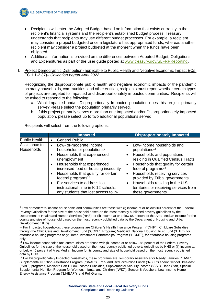

-

**U.S. DEPARTMENT OF THE TREASURY** 

- Recipients will enter the Adopted Budget based on information that exists currently in the recipient's financial systems and the recipient's established budget process. Treasury understands that recipients may use different budget processes. For example, a recipient may consider a project budgeted once a legislature has appropriated funds; whereas another recipient may consider a project budgeted at the moment when the funds have been obligated.
- Additional information is provided on the differences between Adopted Budget, Obligations, and Expenditures as part of the user guide posted at [www.treasury.gov/SLFRPReporting.](http://www.treasury.gov/SLFRPReporting)
- f. Project Demographic Distribution (applicable to Public Health and Negative Economic Impact ECs: EC 1.1-2.37)– *Collection began April 2022*

Recognizing the disproportionate public health and negative economic impacts of the pandemic on many households, communities, and other entities, recipients must report whether certain types of projects are targeted to impacted and disproportionately impacted communities. Recipients will be asked to respond to the following:

- a. What Impacted and/or Disproportionally Impacted population does this project primarily serve? Please select the population primarily served.
- b. If this project primarily serves more than one Impacted and/or Disproportionately Impacted population, please select up to two additional populations served.

|                                    | <b>Impacted</b>                                                                    | <b>Disproportionately Impacted</b>                                    |
|------------------------------------|------------------------------------------------------------------------------------|-----------------------------------------------------------------------|
| Public Health                      | <b>General Public</b><br>$\bullet$                                                 |                                                                       |
| Assistance to<br><b>Households</b> | Low- or-moderate income<br>$\bullet$<br>households or populations <sup>9</sup>     | Low-income households and<br>populations <sup>11</sup>                |
|                                    | Households that experienced<br>unemployment                                        | Households and populations<br>residing in Qualified Census Tracts     |
|                                    | Households that experienced<br>$\bullet$<br>increased food or housing insecurity   | Households that qualify for certain<br>federal programs <sup>12</sup> |
|                                    | Households that qualify for certain<br>$\bullet$<br>federal programs <sup>10</sup> | Households receiving services<br>provided by Tribal governments       |
|                                    | For services to address lost<br>$\bullet$                                          | Households residing in the U.S.                                       |
|                                    | instructional time in K-12 schools:                                                | territories or receiving services from                                |
|                                    | any students that lost access to in-                                               | these governments                                                     |

Recipients will select from the following options:

<sup>9</sup> Low or moderate-income households and communities are those with (i) income at or below 300 percent of the Federal Poverty Guidelines for the size of the household based on the most recently published poverty guidelines by the Department of Health and Human Services (HHS) or (ii) income at or below 65 percent of the Area Median Income for the county and size of household based on the most recently published data by the Department of Housing and Urban Development (HUD).

<sup>&</sup>lt;sup>10</sup> For Impacted households, these programs are Children's Health Insurance Program ("CHIP"); Childcare Subsidies through the Child Care and Development Fund ("CCDF") Program; Medicaid; National Housing Trust Fund ("HTF"), for affordable housing programs only; Home Investment Partnerships Program ("HOME"), for affordable housing programs only.

<sup>&</sup>lt;sup>11</sup> Low-income households and communities are those with (i) income at or below 185 percent of the Federal Poverty Guidelines for the size of the household based on the most recently published poverty guidelines by HHS or (ii) income at or below 40 percent of Area Median Income for its county and size of household based on the most recently published data by HUD.

<sup>&</sup>lt;sup>12</sup> For Disproportionately Impacted households, these programs are Temporary Assistance for Needy Families ("TANF"), Supplemental Nutrition Assistance Program ("SNAP"), Free- and Reduced-Price Lunch ("NSLP") and/or School Breakfast ("SBP") programs, Medicare Part D Low-Income Subsidies, Supplemental Security Income ("SSI"), Head Start, Special Supplemental Nutrition Program for Women, Infants, and Children ("WIC"), Section 8 Vouchers, Low-Income Home Energy Assistance Program ("LIHEAP"), and Pell Grants.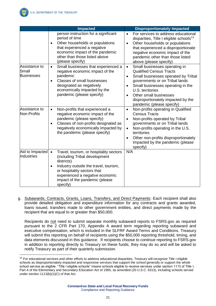

 $\overline{a}$ 

|                                             | <b>Impacted</b>                                                                                                                                                                                                                                                           | <b>Disproportionately Impacted</b>                                                                                                                                                                                                                                                                                                    |
|---------------------------------------------|---------------------------------------------------------------------------------------------------------------------------------------------------------------------------------------------------------------------------------------------------------------------------|---------------------------------------------------------------------------------------------------------------------------------------------------------------------------------------------------------------------------------------------------------------------------------------------------------------------------------------|
|                                             | person instruction for a significant<br>period of time<br>Other households or populations<br>$\bullet$<br>that experienced a negative<br>economic impact of the pandemic<br>other than those listed above<br>(please specify)                                             | For services to address educational<br>$\bullet$<br>disparities, Title I eligible schools <sup>13</sup><br>Other households or populations<br>$\bullet$<br>that experienced a disproportionate<br>negative economic impact of the<br>pandemic other than those listed<br>above (please specify)                                       |
| Assistance to<br>Small<br><b>Businesses</b> | Small businesses that experienced a<br>$\bullet$<br>negative economic impact of the<br>pandemic<br>Classes of small businesses<br>$\bullet$<br>designated as negatively<br>economically impacted by the<br>pandemic (please specify)                                      | Small businesses operating in<br>$\bullet$<br><b>Qualified Census Tracts</b><br>Small businesses operated by Tribal<br>$\bullet$<br>governments or on Tribal lands<br>Small businesses operating in the<br>$\bullet$<br>U.S. territories<br>Other small businesses<br>disproportionately impacted by the<br>pandemic (please specify) |
| Assistance to<br>Non-Profits                | Non-profits that experienced a<br>$\bullet$<br>negative economic impact of the<br>pandemic (please specify)<br>Classes of non-profits designated as<br>$\bullet$<br>negatively economically impacted by<br>the pandemic (please specify)                                  | Non-profits operating in Qualified<br>$\bullet$<br><b>Census Tracts</b><br>Non-profits operated by Tribal<br>$\bullet$<br>governments or on Tribal lands<br>Non-profits operating in the U.S.<br>$\bullet$<br>territories<br>Other non-profits disproportionately<br>$\bullet$<br>impacted by the pandemic (please<br>specify)        |
| Aid to Impacted<br>Industries               | Travel, tourism, or hospitality sectors<br>$\bullet$<br>(including Tribal development<br>districts)<br>Industry outside the travel, tourism,<br>$\bullet$<br>or hospitality sectors that<br>experienced a negative economic<br>impact of the pandemic (please<br>specify) | N/A                                                                                                                                                                                                                                                                                                                                   |

g. Subawards, Contracts, Grants, Loans, Transfers, and Direct Payments: Each recipient shall also provide detailed obligation and expenditure information for any contracts and grants awarded, loans issued, transfers made to other government entities, and direct payments made by the recipient that are equal to or greater than \$50,000.

Recipients do not need to submit separate monthly subaward reports to FSRS.gov as required pursuant to the 2 CFR Part 170, Appendix A award term regarding reporting subaward and executive compensation, which is included in the SLFRF Award Terms and Conditions. Treasury will submit this reporting on behalf of recipients using the \$50,000 reporting threshold, timing, and data elements discussed in this guidance. If recipients choose to continue reporting to FSRS.gov in addition to reporting directly to Treasury on these funds, they may do so and will be asked to notify Treasury as part of their quarterly submission.

<sup>&</sup>lt;sup>13</sup> For educational services and other efforts to address educational disparities, Treasury will recognize Title I eligible schools as disproportionately impacted and responsive services that support the school generally or support the whole school service as eligible. "Title I eligible schools" means schools eligible to receive services under section 1113 of Title I, Part A of the Elementary and Secondary Education Act of 1965, as amended (20 U.S.C. 6313), including schools served under section 1113(b)(1)(C) of that Act.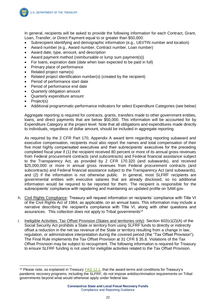

In general, recipients will be asked to provide the following information for each Contract, Grant, Loan, Transfer, or Direct Payment equal to or greater than \$50,000:

- Subrecipient identifying and demographic information (e.g., UEI/TIN number and location)
- Award number (e.g., Award number, Contract number, Loan number)
- Award date, type, amount, and description
- Award payment method (reimbursable or lump sum payment(s))
- For loans, expiration date (date when loan expected to be paid in full)
- Primary place of performance
- Related project name(s)
- Related project identification number(s) (created by the recipient)
- Period of performance start date
- Period of performance end date
- Quarterly obligation amount
- Quarterly expenditure amount
- Project(s)

-

• Additional programmatic performance indicators for select Expenditure Categories (see below)

Aggregate reporting is required for contracts, grants, transfers made to other government entities, loans, and direct payments that are below \$50,000. This information will be accounted for by Expenditure Category at the project level. Note that all obligations and expenditures made directly to individuals, regardless of dollar amount, should be included in aggregate reporting.

As required by the 2 CFR Part 170, Appendix A award term regarding reporting subaward and executive compensation, recipients must also report the names and total compensation of their five most highly compensated executives and their subrecipients' executives for the preceding completed fiscal year if (1) the recipient received 80 percent or more of its annual gross revenues from Federal procurement contracts (and subcontracts) and Federal financial assistance subject to the Transparency Act, as provided by 2 CFR 170.320 (and subawards), and received \$25,000,000 or more in annual gross revenues from Federal procurement contracts (and subcontracts) and Federal financial assistance subject to the Transparency Act (and subawards), and (2) if the information is not otherwise public. In general, most SLFRF recipients are governmental entities with executive salaries that are already disclosed, so no additional information would be required to be reported for them. The recipient is responsible for the subrecipients' compliance with registering and maintaining an updated profile on SAM.gov.

- h. Civil Rights Compliance: Treasury will request information on recipients' compliance with Title VI of the Civil Rights Act of 1964, as applicable, on an annual basis. This information may include a narrative describing the recipient's compliance with Title VI, along with other questions and assurances. This collection does not apply to Tribal governments<sup>14</sup>
- i. Ineligible Activities: Tax Offset Provision (States and territories only): Section 602(c)(2)(A) of the Social Security Act prohibits a State or territory from using SLFRF funds to directly or indirectly offset a reduction in the net tax revenue of the State or territory resulting from a change in law, regulation, or administrative interpretation during the covered period (the "Tax Offset Provision"). The Final Rule implements the Tax Offset Provision at 31 CFR § 35.8. Violations of the Tax Offset Provision may be subject to recoupment. The following information is required for Treasury to ensure SLFRF funding is not used for ineligible activities related to the Tax Offset Provision.

<sup>&</sup>lt;sup>14</sup> Please note, as explained in Treasury  $FAQ 12.1$ , that the award terms and conditions for Treasury's pandemic recovery programs, including the SLFRF, do not impose antidiscrimination requirements on Tribal governments beyond what would otherwise apply under federal law.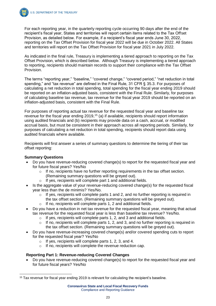

For each reporting year, in the quarterly reporting cycle occurring 90 days after the end of the recipient's fiscal year, States and territories will report certain items related to the Tax Offset Provision, as detailed below. For example, if a recipient's fiscal year ends June 30, 2022, reporting on the Tax Offset Provision for fiscal year 2022 will be due in October 2022. All States and territories will report on the Tax Offset Provision for fiscal year 2021 in July 2022.

As indicated in the final rule, Treasury is implementing a tiered approach to reporting on the Tax Offset Provision, which is described below. Although Treasury is implementing a tiered approach to reporting, recipients should maintain records to support their compliance with the Tax Offset Provision.

The terms "reporting year," "baseline," "covered change," "covered period," "net reduction in total spending," and "tax revenue" are defined in the Final Rule, 31 CFR § 35.3. For purposes of calculating a net reduction in total spending, total spending for the fiscal year ending 2019 should be reported on an inflation-adjusted basis, consistent with the Final Rule. Similarly, for purposes of calculating baseline tax revenue, tax revenue for the fiscal year 2019 should be reported on an inflation-adjusted basis, consistent with the Final Rule.

For purposes of reporting actual tax revenue for the requested fiscal year and baseline tax revenue for the fiscal year ending 2019,<sup>15</sup> (a) if available, recipients should report information using audited financials and (b) recipients may provide data on a cash, accrual, or modified accrual basis, but must be consistent in their approach across all reporting periods. Similarly, for purposes of calculating a net reduction in total spending, recipients should report data using audited financials where available.

Recipients will first answer a series of summary questions to determine the tiering of their tax offset reporting:

#### **Summary Questions**

-

- Do you have revenue-reducing covered change(s) to report for the requested fiscal year and for future fiscal years? Yes/No
	- $\circ$  If no, recipients have no further reporting requirements in the tax offset section. (Remaining summary questions will be greyed out).
	- o If yes, recipients will complete part 1 and additional fields.
- Is the aggregate value of your revenue-reducing covered change(s) for the requested fiscal year less than the de minimis? Yes/No.
	- $\circ$  If yes, recipients will complete parts 1 and 2, and no further reporting is required in the tax offset section. (Remaining summary questions will be greyed out).
	- If no, recipients will complete parts 1, 2 and additional fields.
- Do you have a reduction in net tax revenue for the requested fiscal year, meaning that actual tax revenue for the requested fiscal year is less than baseline tax revenue? Yes/No.
	- o If yes, recipients will complete parts 1, 2, and 3 and additional fields.
	- $\circ$  If no, recipients will complete parts 1, 2, and 3, and no further reporting is required in the tax offset section. (Remaining summary questions will be greyed out).
- Do you have revenue-increasing covered change(s) and/or covered spending cuts to report for the requested fiscal year? Yes/No
	- o If yes, recipients will complete parts 1, 2, 3, and 4.
	- o If no, recipients will complete the revenue reduction cap.

#### **Reporting Part 1: Revenue-reducing Covered Changes**

• Do you have revenue-reducing covered change(s) to report for the requested fiscal year and for future fiscal years? Yes/No

<sup>&</sup>lt;sup>15</sup> Tax revenue for fiscal year ending 2019 is relevant for calculating the recipient's baseline.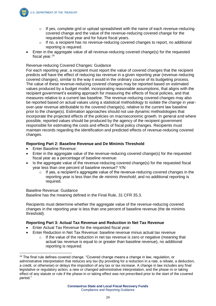

- $\circ$  If yes, complete grid or upload spreadsheet with the name of each revenue-reducing covered change and the value of the revenue-reducing covered change for the requested fiscal year and for future fiscal years.
- o If no, a recipient has no revenue-reducing covered changes to report, no additional reporting is required.
- Enter in the aggregate value of all revenue-reducing covered change(s) for the requested fiscal year.<sup>16</sup>

#### Revenue-reducing Covered Changes: Guidance

For each reporting year, a recipient must report the value of covered changes that the recipient predicts will have the effect of reducing tax revenue in a given reporting year (revenue-reducing covered changes), similar to the way it would in the ordinary course of its budgeting process. The value of these revenue-reducing covered changes may be reported based on estimated values produced by a budget model, incorporating reasonable assumptions, that aligns with the recipient government's existing approach for measuring the effects of fiscal policies, and that measures relative to a current law baseline. The revenue-reducing covered changes may also be reported based on actual values using a statistical methodology to isolate the change in yearover-year revenue attributable to the covered change(s), relative to the current law baseline prior to the change(s). Estimation approaches should not use dynamic methodologies that incorporate the projected effects of the policies on macroeconomic growth. In general and where possible, reported values should be produced by the agency of the recipient government responsible for estimating the costs and effects of fiscal policy changes. Recipients must maintain records regarding the identification and predicted effects of revenue-reducing covered changes.

#### **Reporting Part 2: Baseline Revenue and De Minimis Threshold**

- Enter Baseline Revenue:
- Enter in the aggregate value of the revenue-reducing covered change(s) for the requested fiscal year as a percentage of baseline revenue:
- Is the aggregate value of the revenue-reducing covered change(s) for the requested fiscal year less than one percent of baseline revenue? Y/N
	- $\circ$  If yes, a recipient's aggregate value of the revenue-reducing covered changes in the reporting year is less than the *de minimis threshold*, and no additional reporting is required.

#### Baseline Revenue: Guidance

 $\overline{a}$ 

Baseline has the meaning defined in the Final Rule, 31 CFR 35.3.

Recipients must determine whether the aggregate value of the revenue-reducing covered changes in the reporting year is less than one percent of baseline revenue (the de minimis threshold).

#### **Reporting Part 3: Actual Tax Revenue and Reduction in Net Tax Revenue**

- Enter Actual Tax Revenue for the requested fiscal year:
- Enter Reduction in Net Tax Revenue: baseline revenue minus actual tax revenue
	- o If the value of the reduction in net tax revenue is zero or negative (meaning that actual tax revenue is equal to or greater than baseline revenue), no additional reporting is required.

<sup>16</sup> The final rule defines covered change. "Covered change means a change in law, regulation, or administrative interpretation that reduces any tax (by providing for a reduction in a rate, a rebate, a deduction, a credit, or otherwise) or delays the imposition of any tax or tax increase. A change in law includes any final legislative or regulatory action, a new or changed administrative interpretation, and the phase-in or taking effect of any statute or rule if the phase-in or taking effect was not prescribed prior to the start of the covered period."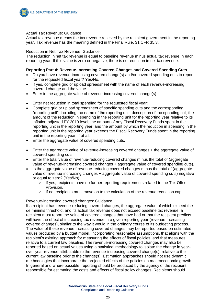

#### Actual Tax Revenue: Guidance

Actual tax revenue means the tax revenue received by the recipient government in the reporting year. Tax revenue has the meaning defined in the Final Rule, 31 CFR 35.3.

#### Reduction in Net Tax Revenue: Guidance

The reduction in net tax revenue is equal to baseline revenue minus actual tax revenue in each reporting year. If this value is zero or negative, there is no reduction in net tax revenue.

#### **Reporting Part 4: Revenue-increasing Covered Changes and Covered Spending Cuts**

- Do you have revenue-increasing covered change(s) and/or covered spending cuts to report for the requested fiscal year? Yes/No.
- If yes, complete grid or upload spreadsheet with the name of each revenue-increasing covered change and the value.
- Enter in the aggregate value of revenue-increasing covered change(s):
- Enter net reduction in total spending for the requested fiscal year:
- Complete grid or upload spreadsheet of specific spending cuts and the corresponding "reporting unit", including the name of the reporting unit, description of the spending cut, the amount of the reduction in spending in the reporting unit for the reporting year relative to its inflation-adjusted FY 2019 level, the amount of any Fiscal Recovery Funds spent in the reporting unit in the reporting year, and the amount by which the reduction in spending in the reporting unit in the reporting year exceeds the Fiscal Recovery Funds spent in the reporting unit in the reporting year, if at all.
- Enter the aggregate value of covered spending cuts.
- Enter the aggregate value of revenue-increasing covered changes + the aggregate value of covered spending cuts.
- Enter the total value of revenue-reducing covered changes minus the total of (aggregate value of revenue-increasing covered changes + aggregate value of covered spending cuts).
- Is the aggregate value of revenue-reducing covered changes minus the total of (aggregate value of revenue-increasing changes + aggregate value of covered spending cuts) negative or equal to zero? (Yes/No)
	- $\circ$  If yes, recipients have no further reporting requirements related to the Tax Offset Provision.
	- $\circ$  If no, recipients must move on to the calculation of the revenue reduction cap.

#### Revenue-increasing covered changes: Guidance

If a recipient has revenue-reducing covered changes, the aggregate value of which exceed the de minimis threshold, and its actual tax revenue does not exceed baseline tax revenue, a recipient must report the value of covered changes that have had or that the recipient predicts will have the effect of increasing tax revenue in a given reporting year (revenue-increasing covered changes), similar to the way it would in the ordinary course of its budgeting process. The value of these revenue-increasing covered changes may be reported based on estimated values produced by a budget model, incorporating reasonable assumptions, that aligns with the recipient's existing approach for measuring the effects of fiscal policies, and that measures relative to a current law baseline. The revenue-increasing covered changes may also be reported based on actual values using a statistical methodology to isolate the change in yearover-year revenue attributable to the revenue-increasing covered change(s), relative to the current law baseline prior to the change(s). Estimation approaches should not use dynamic methodologies that incorporate the projected effects of the policies on macroeconomic growth. In general and where possible, reporting should be produced by the agency of the recipient responsible for estimating the costs and effects of fiscal policy changes. Recipients should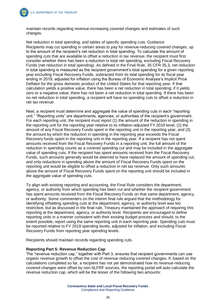maintain records regarding revenue-increasing covered changes and estimates of such changes.

Net reduction in total spending, and tables of specific spending cuts: Guidance Recipients may cut spending in certain areas to pay for revenue-reducing covered changes, up to the amount of the recipient's net reduction in total spending. To calculate the amount of spending cuts that are available to offset a reduction in tax revenue, the recipient must first consider whether there has been a reduction in total net spending, excluding Fiscal Recovery Funds (net reduction in total spending). As defined in the Final Rule, 35 CFR 35.3, net reduction in total spending is measured as the recipient government's total spending for a given reporting year excluding Fiscal Recovery Funds, subtracted from its total spending for its fiscal year ending in 2019, adjusted for inflation using the Bureau of Economic Analysis's Implicit Price Deflator for the gross domestic product of the United States for that reporting year. If that calculation yields a positive value, there has been a net reduction in total spending; if it yields zero or a negative value, there has not been a net reduction in total spending. If there has been no net reduction in total spending, a recipient will have no spending cuts to offset a reduction in net tax revenue.

Next, a recipient must determine and aggregate the value of spending cuts in each "reporting unit." "Reporting units" are departments, agencies, or authorities of the recipient's government. For each reporting unit, the recipient must report (1) the amount of the reduction in spending in the reporting unit for the reporting year relative to its inflation-adjusted FY 2019 level, (2) the amount of any Fiscal Recovery Funds spent in the reporting unit in the reporting year, and (3) the amount by which the reduction in spending in the reporting year exceeds the Fiscal Recovery funds spent in the reporting unit in the reporting year. If a recipient has not spent amounts received from the Fiscal Recovery Funds in a reporting unit, the full amount of the reduction in spending counts as a covered spending cut and may be included in the aggregate value of spending cuts. If the recipient has spent amounts received from the Fiscal Recovery Funds, such amounts generally would be deemed to have replaced the amount of spending cut, and only reductions in spending above the amount of Fiscal Recovery Funds spent on the reporting unit would be eligible to offset a reduction in net tax revenue. Only such amounts above the amount of Fiscal Recovery Funds spent on the reporting unit should be included in the aggregate value of spending cuts.

To align with existing reporting and accounting, the Final Rule considers the department, agency, or authority from which spending has been cut and whether the recipient government has spent amounts received from the Fiscal Recovery Funds on that same department, agency, or authority. Some commenters on the interim final rule argued that the methodology for identifying offsetting spending cuts at the department, agency, or authority level was too restrictive, but as discussed in the final rule, Treasury maintained the approach of requiring this reporting at the department, agency, or authority level. Recipients are encouraged to define reporting units in a manner consistent with their existing budget process and should, to the extent possible, report using the same reporting unit in each reporting year. Spending cuts must be reported relative to FY 2019 spending levels, adjusted for inflation, and excluding Fiscal Recovery Funds from reporting year spending levels.

Recipients should maintain records regarding spending cuts.

#### **Reporting Part 5: Revenue Reduction Cap**

The "revenue reduction cap," together with Part 3, ensures that recipient governments can use organic revenue growth to offset the cost of revenue-reducing covered changes. If, based on the calculations completed so far, a recipient has not yet demonstrated how its revenue-reducing covered changes were offset by non-SLFRF sources, the reporting portal will auto-calculate the revenue reduction cap, which will be the lesser of the following two amounts: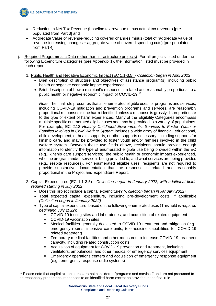

 $\overline{a}$ 

**U.S. DEPARTMENT OF THE TREASURY** 

- Reduction in Net Tax Revenue (baseline tax revenue minus actual tax revenue) [prepopulated from Part 3] and
- Aggregate Value of revenue-reducing covered changes minus (total of (aggregate value of revenue-increasing changes + aggregate value of covered spending cuts) [pre-populated from Part 4].
- j. Required Programmatic Data (other than infrastructure projects): For all projects listed under the following Expenditure Categories (see Appendix 1), the information listed must be provided in each report.
	- 1. Public Health and Negative Economic Impact (EC 1.1-3.5) *Collection began in April 2022*
		- Brief description of structure and objectives of assistance program(s), including public health or negative economic impact experienced
		- Brief description of how a recipient's response is related and reasonably proportional to a public health or negative economic impact of COVID-19.<sup>17</sup>

*Note:* The final rule presumes that all enumerated eligible uses for programs and services, including COVID-19 mitigation and prevention programs and services, are reasonably proportional responses to the harm identified unless a response is grossly disproportionate to the type or extent of harm experienced. Many of the Eligibility Categories encompass multiple specific enumerated eligible uses and may be provided to a variety of populations. For example, EC 2.13 *Healthy Childhood Environments: Services to Foster Youth or Families Involved in Child Welfare System* includes a wide array of financial, educational, child development, or health supports, or other supports necessary, including supports for kinship care, and may be provided to foster youth and/or families involved in the child welfare system. Between these two fields above, recipients should provide enough information to identify the type of enumerated eligible use being provided within the EC (e.g., kinship care support services), the public health or economic impact experienced, who the program and/or service is being provided to, and what services are being provided (e.g., respite resources). For enumerated eligible uses, recipients are not required to provide substantive documentation that the response is related and reasonably proportional in the Project and Expenditure Report.

- 2. Capital Expenditures (EC 1.1-3.5) *Collection began in January 2022, with additional fields required starting in July 2022*
	- Does this project include a capital expenditure? *(Collection began in January 2022)*
	- Total expected capital expenditure, including pre-development costs, if applicable *(Collection began in January 2022)*
	- Type of capital expenditure, based on the following enumerated uses (This field is *required beginning July 2022*):
		- COVID-19 testing sites and laboratories, and acquisition of related equipment
		- COVID-19 vaccination sites
		- Medical facilities generally dedicated to COVID-19 treatment and mitigation (e.g., emergency rooms, intensive care units, telemedicine capabilities for COVID-19 related treatment)
		- Temporary medical facilities and other measures to increase COVID-19 treatment capacity, including related construction costs
		- Acquisition of equipment for COVID-19 prevention and treatment, including ventilators, ambulances, and other medical or emergency services equipment
		- Emergency operations centers and acquisition of emergency response equipment (e.g., emergency response radio systems)

<sup>&</sup>lt;sup>17</sup> Please note that capital expenditures are not considered "programs and services" and are not presumed to be reasonably proportional responses to an identified harm except as provided in the final rule.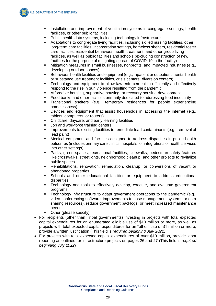- **EXECT** Installation and improvement of ventilation systems in congregate settings, health facilities, or other public facilities
- Public health data systems, including technology infrastructure
- Adaptations to congregate living facilities, including skilled nursing facilities, other long-term care facilities, incarceration settings, homeless shelters, residential foster care facilities, residential behavioral health treatment, and other group living facilities, as well as public facilities and schools (excluding construction of new facilities for the purpose of mitigating spread of COVID-19 in the facility)
- Mitigation measures in small businesses, nonprofits, and impacted industries (e.g., developing outdoor spaces)
- Behavioral health facilities and equipment (e.g., inpatient or outpatient mental health or substance use treatment facilities, crisis centers, diversion centers)
- **EXECT** Technology and equipment to allow law enforcement to efficiently and effectively respond to the rise in gun violence resulting from the pandemic
- **EXEDENT** Affordable housing, supportive housing, or recovery housing development
- Food banks and other facilities primarily dedicated to addressing food insecurity
- Transitional shelters (e.g., temporary residences for people experiencing homelessness)
- Devices and equipment that assist households in accessing the internet (e.g., tablets, computers, or routers)
- Childcare, daycare, and early learning facilities
- Job and workforce training centers
- **•** Improvements to existing facilities to remediate lead contaminants (e.g., removal of lead paint)
- Medical equipment and facilities designed to address disparities in public health outcomes (includes primary care clinics, hospitals, or integrations of health services into other settings)
- Parks, green spaces, recreational facilities, sidewalks, pedestrian safety features like crosswalks, streetlights, neighborhood cleanup, and other projects to revitalize public spaces
- Rehabilitations, renovation, remediation, cleanup, or conversions of vacant or abandoned properties
- Schools and other educational facilities or equipment to address educational disparities
- **EXECT** Technology and tools to effectively develop, execute, and evaluate government programs
- Technology infrastructure to adapt government operations to the pandemic (e.g., video-conferencing software, improvements to case management systems or data sharing resources), reduce government backlogs, or meet increased maintenance needs
- Other (please specify)
- For recipients (other than Tribal governments) investing in projects with total expected capital expenditures for an enumerated eligible use of \$10 million or more, as well as projects with total expected capital expenditures for an "other" use of \$1 million or more, provide a written justification (This field is *required beginning July 2022)*
- For projects with total expected capital expenditures of over \$10 million, provide labor reporting as outlined for infrastructure projects on pages 26 and 27 (This field is *required beginning July 2022*)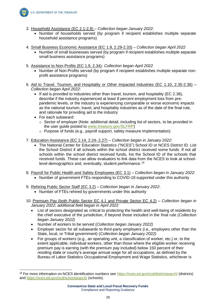

- 3. Household Assistance (EC 2.1-2.8) *Collection began January 2022*:
	- Number of households served (by program if recipient establishes multiple separate household assistance programs)
- 4. Small Business Economic Assistance (EC 1.8, 2.29-2.33) *Collection began April 2022*
	- Number of small businesses served (by program if recipient establishes multiple separate small business assistance programs)
- 5. Assistance to Non-Profits (EC 1.9, 2.34)- *Collection began April 2022*
	- Number of Non-Profits served (by program if recipient establishes multiple separate nonprofit assistance programs)
- 6. Aid to Travel, Tourism, and Hospitality or Other Impacted Industries (EC 1.10, 2.35-2.36) *Collection began April 2022*:
	- If aid is provided to industries other than travel, tourism, and hospitality (EC 2.36), describe if the industry experienced at least 8 percent employment loss from prepandemic levels, or the industry is experiencing comparable or worse economic impacts as the national tourism, travel, and hospitality industries as of the date of the final rule, and rationale for providing aid to the industry
	- For each subaward:

 $\overline{a}$ 

- $\circ$  Sector of employer (Note: additional detail, including list of sectors, to be provided in the user guide posted to [www.treasury.gov/SLFRP\)](http://www.treasury.gov/SLFRP)
- o Purpose of funds (e.g., payroll support, safety measure implementation)
- 7. Education Assistance (EC 2.14, 2.24-.2.27) *Collection began in January 2022*:
	- The National Center for Education Statistics ("NCES") School ID or NCES District ID. List the School District if all schools within the school district received some funds. If not all schools within the school district received funds, list the School ID of the schools that received funds. These can allow evaluators to link data from the NCES to look at schoollevel demographics and, eventually, student performance.<sup>18</sup>
- 8. Payroll for Public Health and Safety Employees (EC 3.1) *Collection began in January 2022*:
	- Number of government FTEs responding to COVID-19 supported under this authority
- 9. Rehiring Public Sector Staff (EC 3.2) *Collection began in January 2022*:
	- Number of FTEs rehired by governments under this authority
- 10. Premium Pay (both Public Sector EC 4.1 and Private Sector EC 4.2) *Collection began in January 2022*; *additional field began in April 2022*
	- List of sectors designated as critical to protecting the health and well-being of residents by the chief executive of the jurisdiction, if beyond those included in the final rule *(Collection began January 2022)*
	- Number of workers to be served (*Collection began January 2022)*
	- Employer sector for all subawards to third-party employers (i.e., employers other than the State, local, or Tribal government) (*Collection began January 2022)*
	- For groups of workers (e.g., an operating unit, a classification of worker, etc.) or, to the extent applicable, individual workers, other than those where the eligible worker receiving premium pay is earning (with the premium pay included) below 150 percent of their residing state or county's average annual wage for all occupations, as defined by the Bureau of Labor Statistics Occupational Employment and Wage Statistics, whichever is

<sup>18</sup> For more information on NCES identification numbers see<https://nces.ed.gov/ccd/districtsearch/> (districts) and<https://nces.ed.gov/ccd/schoolsearch/> (schools).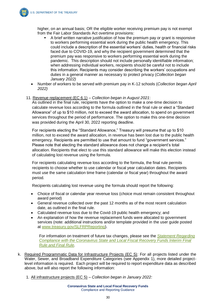

higher, on an annual basis; OR the eligible worker receiving premium pay is not exempt from the Fair Labor Standards Act overtime provisions:

- A brief written narrative justification of how the premium pay or grant is responsive to workers performing essential work during the public health emergency. This could include a description of the essential workers' duties, health or financial risks faced due to COVID-19, and why the recipient government determined that the premium pay was responsive to workers performing essential work during the pandemic. This description should not include personally identifiable information; when addressing individual workers, recipients should be careful not to include this information. Recipients may consider describing the workers' occupations and duties in a general manner as necessary to protect privacy (*Collection began January 2022)*
- Number of workers to be served with premium pay in K-12 schools (*Collection began April 2022)*
- 11. Revenue replacement (EC 6.1) *Collection began in August 2021*:

As outlined in the final rule, recipients have the option to make a one-time decision to calculate revenue loss according to the formula outlined in the final rule or elect a "Standard Allowance" of up to \$10 million, not to exceed the award allocation, to spend on government services throughout the period of performance. The option to make this one-time decision was provided during the April 30, 2022 reporting deadline.

For recipients electing the "Standard Allowance," Treasury will presume that up to \$10 million, not to exceed the award allocation, in revenue has been lost due to the public health emergency. Recipients are permitted to use that amount to fund "government services." Please note that electing the standard allowance does not change a recipient's total allocation. Recipients that elect to use this standard allowance will make this election instead of calculating lost revenue using the formula.

For recipients calculating revenue loss according to the formula, the final rule permits recipients to choose whether to use calendar or fiscal year calculation dates. Recipients must use the same calculation time frame (calendar or fiscal year) throughout the award period.

Recipients calculating lost revenue using the formula should report the following:

- Choice of fiscal or calendar year revenue loss (choice must remain consistent throughout award period)
- General revenue collected over the past 12 months as of the most recent calculation date, as outlined in the final rule.
- Calculated revenue loss due to the Covid-19 public health emergency; and
- An explanation of how the revenue replacement funds were allocated to government services (note: additional instructions and/or template provided in the user guide posted at [www.treasury.gov/SLFRPReporting\)](http://www.treasury.gov/SLFRPReporting).

For information on treatment of future tax changes, please see the *[Statement Regarding](https://home.treasury.gov/system/files/136/SLFRF-Compliance-Statement.pdf)  [Compliance with the Coronavirus State and Local Fiscal Recovery Funds Interim Final](https://home.treasury.gov/system/files/136/SLFRF-Compliance-Statement.pdf)  [Rule and Final Rule.](https://home.treasury.gov/system/files/136/SLFRF-Compliance-Statement.pdf)*

- k. Required Programmatic Data for Infrastructure Projects (EC 5): For all projects listed under the Water, Sewer, and Broadband Expenditure Categories (see Appendix 1), more detailed projectlevel information is required. Each project will be required to report expenditure data as described above, but will also report the following information:
	- 1. All infrastructure projects (EC 5) *Collection began in January 2022:*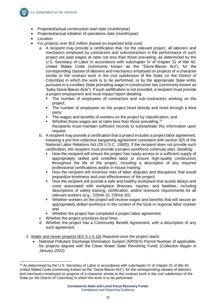

-

- Projected/actual construction start date (month/year)
- Projected/actual initiation of operations date (month/year)
- Location
- For projects over \$10 million (based on expected total cost):
	- a. A recipient may provide a certification that, for the relevant project, all laborers and mechanics employed by contractors and subcontractors in the performance of such project are paid wages at rates not less than those prevailing, as determined by the U.S. Secretary of Labor in accordance with subchapter IV of chapter 31 of title 40, United States Code (commonly known as the "Davis-Bacon Act"), for the corresponding classes of laborers and mechanics employed on projects of a character similar to the contract work in the civil subdivision of the State (or the District of Columbia) in which the work is to be performed, or by the appropriate State entity pursuant to a corollary State prevailing-wage-in-construction law (commonly known as "baby Davis-Bacon Acts"). If such certification is not provided, a recipient must provide a project employment and local impact report detailing:
		- The number of employees of contractors and sub-contractors working on the project;
		- The number of employees on the project hired directly and hired through a third party;
		- The wages and benefits of workers on the project by classification; and
		- $\blacksquare$  Whether those wages are at rates less than those prevailing.<sup>19</sup> Recipients must maintain sufficient records to substantiate this information upon request.
	- b. A recipient may provide a certification that a project includes a project labor agreement, meaning a pre-hire collective bargaining agreement consistent with section 8(f) of the National Labor Relations Act (29 U.S.C. 158(f)). If the recipient does not provide such certification, the recipient must provide a project workforce continuity plan, detailing:
		- How the recipient will ensure the project has ready access to a sufficient supply of appropriately skilled and unskilled labor to ensure high-quality construction throughout the life of the project, including a description of any required professional certifications and/or in-house training;
		- How the recipient will minimize risks of labor disputes and disruptions that would jeopardize timeliness and cost-effectiveness of the project;
		- How the recipient will provide a safe and healthy workplace that avoids delays and costs associated with workplace illnesses, injuries, and fatalities, including descriptions of safety training, certification, and/or licensure requirements for all relevant workers (e.g., OSHA 10, OSHA 30);
		- Whether workers on the project will receive wages and benefits that will secure an appropriately skilled workforce in the context of the local or regional labor market; and
		- Whether the project has completed a project labor agreement.
	- c. Whether the project prioritizes local hires.
	- d. Whether the project has a Community Benefit Agreement, with a description of any such agreement.
- 2. Water and sewer projects (EC 5.1-5.18) *Required once the project starts:*
	- National Pollutant Discharge Elimination System (NPDES) Permit Number (if applicable; for projects aligned with the Clean Water State Revolving Fund) (*Collection began in January 2022)*

<sup>&</sup>lt;sup>19</sup> As determined by the U.S. Secretary of Labor in accordance with subchapter IV of chapter 31 of title 40, United States Code (commonly known as the "Davis-Bacon Act"), for the corresponding classes of laborers and mechanics employed on projects of a character similar to the contract work in the civil subdivision of the State (or the District of Columbia) in which the work is to be performed.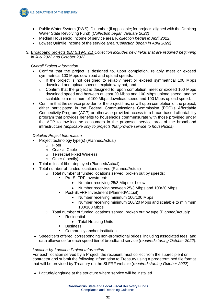

- Public Water System (PWS) ID number (if applicable; for projects aligned with the Drinking Water State Revolving Fund) (*Collection began January 2022)*
- Median Household Income of service area *(Collection began in April 2022)*
- Lowest Quintile Income of the service area *(Collection began in April 2022)*
- 3. Broadband projects (EC 5.19-5.21) *Collection includes new fields that are required beginning in July 2022 and October 2022:*

#### *Overall Project Information*

- Confirm that the project is designed to, upon completion, reliably meet or exceed symmetrical 100 Mbps download and upload speeds.
	- $\circ$  If the project is not designed to reliably meet or exceed symmetrical 100 Mbps download and upload speeds, explain why not, and
	- o Confirm that the project is designed to, upon completion, meet or exceed 100 Mbps download speed and between at least 20 Mbps and 100 Mbps upload speed, and be scalable to a minimum of 100 Mbps download speed and 100 Mbps upload speed.
- Confirm that the service provider for the project has, or will upon completion of the project, either participated in the Federal Communications Commission (FCC)'s Affordable Connectivity Program (ACP) or otherwise provided access to a broad-based affordability program that provides benefits to households commensurate with those provided under the ACP to low-income consumers in the proposed service area of the broadband infrastructure *(applicable only to projects that provide service to households).*

#### *Detailed Project Information*

- Project technology type(s) (Planned/Actual)
	- o Fiber
	- o Coaxial Cable
	- o Terrestrial Fixed Wireless
	- o Other (specify)
- Total miles of fiber deployed (Planned/Actual)
- Total number of funded locations served (Planned/Actual)
	- o Total number of funded locations served, broken out by speeds:
		- **•** Pre-SLFRF Investment:
			- Number receiving 25/3 Mbps or below
			- Number receiving between 25/3 Mbps and 100/20 Mbps
		- Post-SLFRF Investment (Planned/Actual):
			- Number receiving minimum 100/100 Mbps
			- Number receiving minimum 100/20 Mbps and scalable to minimum 100/100 Mbps
	- o Total number of funded locations served, broken out by type (Planned/Actual):
		- **Residential** 
			- Total Housing Units
		- Business
		- Community anchor institution
- Speed tiers offered, corresponding non-promotional prices, including associated fees, and data allowance for each speed tier of broadband service (*required starting October 2022*).

#### *Location-by-Location Project Information*

For each location served by a Project, the recipient must collect from the subrecipient or contractor and submit the following information to Treasury using a predetermined file format that will be provided by Treasury on the SLFRF website (*required starting October 2022*):

• Latitude/longitude at the structure where service will be installed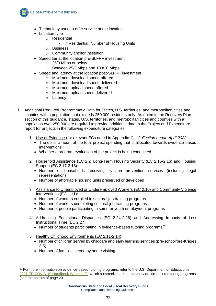**U.S. DEPARTMENT OF THE TREASURY** 

- Technology used to offer service at the location
- Location type
	- o Residential
		- **■** If Residential, Number of Housing Units
	- o Business
	- o Community anchor institution
- Speed tier at the location pre-SLFRF investment
	- o 25/3 Mbps or below
	- o Between 25/3 Mbps and 100/20 Mbps
- Speed and latency at the location post-SLFRF investment
	- o Maximum download speed offered
	- o Maximum download speed delivered
	- o Maximum upload speed offered
	- o Maximum upload speed delivered
	- o Latency
- l. Additional Required Programmatic Data for States, U.S. territories, and metropolitan cities and counties with a population that exceeds 250,000 residents only: As noted in the Recovery Plan section of this guidance, states, U.S. territories, and metropolitan cities and counties with a population over 250,000 are required to provide additional data in the Project and Expenditure report for projects in the following expenditure categories:
	- 1. Use of Evidence (for relevant ECs noted in Appendix 1)—*Collection began April 2022*
		- The dollar amount of the total project spending that is allocated towards evidence-based interventions
		- Whether a program evaluation of the project is being conducted
	- 2. Household Assistance (EC 2.2, Long-Term Housing Security (EC 2.15-2.16) and Housing Support (EC 2.17-2.18):
		- Number of households receiving eviction prevention services (including legal representation)
		- Number of affordable housing units preserved or developed
	- 3. Assistance to Unemployed or Underemployed Workers (EC 2.10) and Community Violence Interventions (EC 1.11):
		- Number of workers enrolled in sectoral job training programs
		- Number of workers completing sectoral job training programs
		- Number of people participating in summer youth employment programs
	- 4. Addressing Educational Disparities (EC 2.24-2.26) and Addressing Impacts of Lost Instructional Time (EC 2.27):
		- Number of students participating in evidence-based tutoring programs<sup>20</sup>
	- 5. Healthy Childhood Environments (EC 2.11-2.14):
		- Number of children served by childcare and early learning services (pre-school/pre-K/ages 3-5)
		- Number of families served by home visiting

-

<sup>&</sup>lt;sup>20</sup> For more information on evidence-based tutoring programs, refer to the U.S. Department of Education's [2021 ED COVID-19 Handbook \(Volume 2\),](https://www2.ed.gov/documents/coronavirus/reopening-2.pdf) which summarizes research on evidence-based tutoring programs (see the bottom of page 20.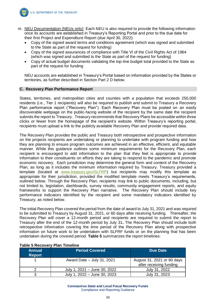

- m. NEU Documentation (NEUs only): Each NEU is also required to provide the following information once its accounts are established in Treasury's Reporting Portal and prior to the due date for their first Project and Expenditure Report (due April 30, 2022):
	- Copy of the signed award terms and conditions agreement (which was signed and submitted to the State as part of the request for funding)
	- Copy of the signed assurances of compliance with Title VI of the Civil Rights Act of 1964 (which was signed and submitted to the State as part of the request for funding)
	- Copy of actual budget documents validating the top-line budget total provided to the State as part of the request for funding

NEU accounts are established in Treasury's Portal based on information provided by the States or territories, as further described in Section Part 2 D below.

#### **C. Recovery Plan Performance Report**

States, territories, and metropolitan cities and counties with a population that exceeds 250,000 residents (i.e., Tier 1 recipients) will also be required to publish and submit to Treasury a Recovery Plan performance report ("Recovery Plan"). Each Recovery Plan must be posted on an easily discoverable webpage on the public-facing website of the recipient by the same date the recipient submits the report to Treasury. Treasury recommends that Recovery Plans be accessible within three clicks or fewer from the homepage of the recipient's website. Within Treasury's reporting portal, recipients must upload a link to the publicly available Recovery Plan and provide required data.

The Recovery Plan provides the public and Treasury both retrospective and prospective information on the projects recipients are undertaking or planning to undertake with program funding and how they are planning to ensure program outcomes are achieved in an effective, efficient, and equitable manner. While this guidance outlines some minimum requirements for the Recovery Plan, each recipient is encouraged to add information to the plan that they feel is appropriate to provide information to their constituents on efforts they are taking to respond to the pandemic and promote economic recovery. Each jurisdiction may determine the general form and content of the Recovery Plan, as long as it includes the minimum information required by Treasury. Treasury provided a template (located at [www.treasury.gov/SLFRP\)](http://www.treasury.gov/SLFRP) but recipients may modify this template as appropriate for their jurisdiction, provided the modified template meets Treasury's requirements, outlined below. Through the Recovery Plan, recipients may link to public documents, including, but not limited to, legislation, dashboards, survey results, community engagement reports, and equity frameworks to support the Recovery Plan narrative. The Recovery Plan should include key performance indicators identified by the recipient and some mandatory indicators identified by Treasury, as noted below.

The initial Recovery Plan covered the period from the date of award to July 31, 2021 and was required to be submitted to Treasury by August 31, 2021, or 60 days after receiving funding. Thereafter, the Recovery Plan will cover a 12-month period and recipients are required to submit the report to Treasury after the end of the 12-month period by July 31**.** The Recovery Plan should include both retrospective information covering the time period of the Recovery Plan along with prospective information on future work to be undertaken with SLFRF funds or on the planning that has been undertaken during the covered period. **Table 5** summarizes the report timelines:

| <b>Annual</b><br><b>Report</b> | <b>Period Covered</b>        | Due Date                                              |
|--------------------------------|------------------------------|-------------------------------------------------------|
|                                | Award Date $-$ July 31, 2021 | August 31, 2021 or 60 days<br>after receiving funding |
|                                | July 1, 2021 - June 30, 2022 | July 31, 2022                                         |
| າ                              | July 1, 2022 - June 30, 2023 | July 31, 2023                                         |

#### **Table 5 Recovery Plan Timeline**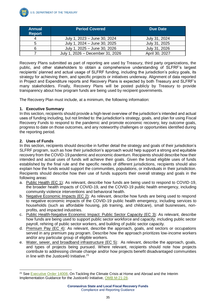

| <b>Annual</b><br><b>Report</b> | <b>Period Covered</b>            | <b>Due Date</b> |
|--------------------------------|----------------------------------|-----------------|
| 4                              | July 1, 2023 - June 30, 2024     | July 31, 2024   |
| 5                              | July 1, 2024 – June 30, 2025     | July 31, 2025   |
|                                | July 1, 2025 - June 30, 2026     | July 31, 2026   |
|                                | July 1, 2026 - December 31, 2026 | April 30, 2027  |

Recovery Plans submitted as part of reporting are used by Treasury, third party organizations, the public, and other stakeholders to obtain a comprehensive understanding of SLFRF's largest recipients' planned and actual usage of SLFRF funding, including the jurisdiction's policy goals, its strategy for achieving them, and specific projects or initiatives underway. Alignment of data reported in Project and Expenditure reports and Recovery Plans is expected by both Treasury and SLFRF's many stakeholders. Finally, Recovery Plans will be posted publicly by Treasury to provide transparency about how program funds are being used by recipient governments.

The Recovery Plan must include, at a minimum, the following information:

#### **1. Executive Summary**

In this section, recipients should provide a high-level overview of the jurisdiction's intended and actual uses of funding including, but not limited to: the jurisdiction's strategy, goals, and plan for using Fiscal Recovery Funds to respond to the pandemic and promote economic recovery, key outcome goals, progress to date on those outcomes, and any noteworthy challenges or opportunities identified during the reporting period.

#### **2. Uses of Funds**

In this section, recipients should describe in further detail the strategy and goals of their jurisdiction's SLFRF program, such as how their jurisdiction's approach would help support a strong and equitable recovery from the COVID-19 pandemic and economic downturn. Recipients should describe how their intended and actual uses of funds will achieve their goals. Given the broad eligible uses of funds established by the final rule and the specific needs of different jurisdictions, recipients should also explain how the funds would support the communities, populations, or individuals in their jurisdiction. Recipients should describe how their use of funds supports their overall strategy and goals in the following areas:

- a. Public Health (EC 1): As relevant, describe how funds are being used to respond to COVID-19, the broader health impacts of COVID-19, and the COVID-19 public health emergency, including community violence interventions and behavioral health.
- b. Negative Economic Impacts (EC 2): As relevant, describe how funds are being used to respond to negative economic impacts of the COVID-19 public health emergency, including services to households (such as affordable housing, job training, and childcare), small businesses, nonprofits, and impacted industries.
- c. Public Health-Negative Economic Impact: Public Sector Capacity (EC 3): As relevant, describe how funds are being used to support public sector workforce and capacity, including public sector payroll, rehiring of public sector workers, and building of public sector capacity.
- d. Premium Pay (EC 4): As relevant, describe the approach, goals, and sectors or occupations served in any premium pay program. Describe how the approach prioritizes low-income workers and/or any particular group of eligible workers.
- e. Water, sewer, and broadband infrastructure (EC 5): As relevant, describe the approach, goals, and types of projects being pursued. Where relevant, recipients should note how projects contribute to addressing climate change and/or how projects benefit disadvantaged communities in line with the Justice 40 Initiative.<sup>21</sup>

 $\overline{a}$ <sup>21</sup> See [Executive Order 14008,](https://www.whitehouse.gov/briefing-room/presidential-actions/2021/01/27/executive-order-on-tackling-the-climate-crisis-at-home-and-abroad/) On Tackling the Climate Crisis at Home and Abroad and the Interim Implementation Guidance for the Justice40 Initiative, [OMB M-21-28.](https://www.whitehouse.gov/wp-content/uploads/2021/07/M-21-28.pdf)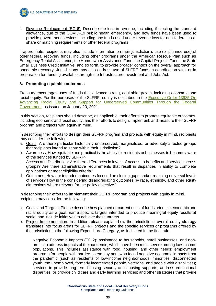

f. Revenue Replacement (EC 6): Describe the loss in revenue, including if electing the standard allowance, due to the COVID-19 public health emergency, and how funds have been used to provide government services, including any funds used under revenue loss for non-federal costshare or matching requirements of other federal programs.

If appropriate, recipients may also include information on their jurisdiction's use (or planned use) of other federal recovery funds, including other programs under the American Rescue Plan such as Emergency Rental Assistance, the Homeowner Assistance Fund, the Capital Projects Fund, the State Small Business Credit Initiative, and so forth, to provide broader context on the overall approach for pandemic recovery. Jurisdictions may also address use of SLFRF funds in coordination with, or in preparation for, funding available through the Infrastructure Investment and Jobs Act.

#### **3. Promoting equitable outcomes**

Treasury encourages uses of funds that advance strong, equitable growth, including economic and racial equity. For the purposes of the SLFRF, equity is described in the [Executive Order 13985 On](https://www.whitehouse.gov/briefing-room/presidential-actions/2021/01/20/executive-order-advancing-racial-equity-and-support-for-underserved-communities-through-the-federal-government/)  [Advancing Racial Equity and Support for Underserved Communities Through the Federal](https://www.whitehouse.gov/briefing-room/presidential-actions/2021/01/20/executive-order-advancing-racial-equity-and-support-for-underserved-communities-through-the-federal-government/)  [Government,](https://www.whitehouse.gov/briefing-room/presidential-actions/2021/01/20/executive-order-advancing-racial-equity-and-support-for-underserved-communities-through-the-federal-government/) as issued on January 20, 2021.

In this section, recipients should describe, as applicable, their efforts to promote equitable outcomes, including economic and racial equity, and their efforts to design, implement, and measure their SLFRF program and projects with equity in mind.

In describing their efforts to **design** their SLFRF program and projects with equity in mind, recipients may consider the following:

- a. Goals: Are there particular historically underserved, marginalized, or adversely affected groups that recipients intend to serve within their jurisdiction?
- b. Awareness: How equitable and practical is the ability for residents or businesses to become aware of the services funded by SLFRF?
- c. Access and Distribution: Are there differences in levels of access to benefits and services across groups? Are there administrative requirements that result in disparities in ability to complete applications or meet eligibility criteria?
- d. Outcomes: How are intended outcomes focused on closing gaps and/or reaching universal levels of service? How is the considering disaggregating outcomes by race, ethnicity, and other equity dimensions where relevant for the policy objective?

In describing their efforts to **implement** their SLFRF program and projects with equity in mind, recipients may consider the following:

- a. Goals and Targets: Please describe how planned or current uses of funds prioritize economic and racial equity as a goal, name specific targets intended to produce meaningful equity results at scale, and include initiatives to achieve those targets.
- b. Project Implementation: In addition, please explain how the jurisdiction's overall equity strategy translates into focus areas for SLFRF projects and the specific services or programs offered by the jurisdiction in the following Expenditure Category, as indicated in the final rule.

Negative Economic Impacts (EC 2): assistance to households, small businesses, and nonprofits to address impacts of the pandemic, which have been most severe among low-income populations. This includes assistance with food, housing, and other needs; employment programs for people with barriers to employment who faced negative economic impacts from the pandemic (such as residents of low-income neighborhoods, minorities, disconnected youth, the unemployed, formerly incarcerated people, veterans, and people with disabilities); services to provide long-term housing security and housing supports, address educational disparities, or provide child care and early learning services; and other strategies that provide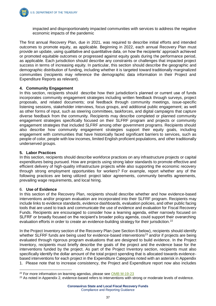

impacted and disproportionately impacted communities with services to address the negative economic impacts of the pandemic

The first annual Recovery Plan, due in 2021, was required to describe initial efforts and intended outcomes to promote equity, as applicable. Beginning in 2022, each annual Recovery Plan must provide an update, using qualitative and quantitative data, on how the recipients' approach achieved or promoted equitable outcomes or progressed against equity goals during the performance period, as applicable. Each jurisdiction should describe any constraints or challenges that impacted project success in terms of increasing equity. In particular, this section should describe the geographic and demographic distribution of funding, including whether it is targeted toward traditionally marginalized communities (recipients may reference the demographic data information in their Project and Expenditure Reports as relevant).

#### **4. Community Engagement**

In this section, recipients should describe how their jurisdiction's planned or current use of funds incorporates community engagement strategies including written feedback through surveys, project proposals, and related documents; oral feedback through community meetings, issue-specific listening sessions, stakeholder interviews, focus groups, and additional public engagement; as well as other forms of input, such as steering committees, taskforces, and digital campaigns that capture diverse feedback from the community. Recipients may describe completed or planned community engagement strategies specifically focused on their SLFRF program and projects or community engagement strategies that included SLFRF among other government programs. Recipients should also describe how community engagement strategies support their equity goals, including engagement with communities that have historically faced significant barriers to services, such as people of color, people with low incomes, limited English proficient populations, and other traditionally underserved groups.

#### **5. Labor Practices**

In this section, recipients should describe workforce practices on any infrastructure projects or capital expenditures being pursued. How are projects using strong labor standards to promote effective and efficient delivery of high-quality infrastructure projects while also supporting the economic recovery through strong employment opportunities for workers? For example, report whether any of the following practices are being utilized: project labor agreements, community benefits agreements, prevailing wage requirements, and local hiring.

#### 6. **Use of Evidence**

In this section of the Recovery Plan, recipients should describe whether and how evidence-based interventions and/or program evaluation are incorporated into their SLFRF program. Recipients may include links to evidence standards, evidence dashboards, evaluation policies, and other public facing tools that are used to track and communicate the use of evidence and evaluation for Fiscal Recovery Funds. Recipients are encouraged to consider how a learning agenda, either narrowly focused on SLFRF or broadly focused on the recipient's broader policy agenda, could support their overarching evaluation efforts in order to create an evidence-building strategy for their jurisdiction.<sup>22</sup>

In the Project Inventory section of the Recovery Plan (see Section 8 below), recipients should identify whether SLFRF funds are being used for evidence-based interventions<sup>23</sup> and/or if projects are being evaluated through rigorous program evaluations that are designed to build evidence. In the Project Inventory, recipients must briefly describe the goals of the project and the evidence base for the interventions funded by the project. As part of the Project Inventory section, recipients must also specifically identify the dollar amount of the total project spending that is allocated towards evidencebased interventions for each project in the Expenditure Categories noted with an asterisk in Appendix 1. Please note that to increase consistency, the Project and Expenditure report now also includes

 $\overline{a}$ <sup>22</sup> For more information on learning agendas, please see [OMB M-19-23](https://www.whitehouse.gov/wp-content/uploads/2019/07/M-19-23.pdf)

<sup>&</sup>lt;sup>23</sup> As noted in Appendix 2, evidence-based refers to interventions with strong or moderate levels of evidence.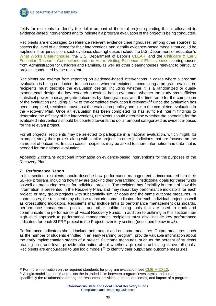

**U.S. DEPARTMENT OF THE TREASURY** 

fields for recipients to identify the dollar amount of the total project spending that is allocated to evidence-based interventions and to indicate if a program evaluation of the project is being conducted.

Recipients are encouraged to reference relevant evidence clearinghouses, among other sources, to assess the level of evidence for their interventions and identify evidence-based models that could be applied in their jurisdiction; such evidence clearinghouses include the U.S. Department of Education's [What Works Clearinghouse,](https://ies.ed.gov/ncee/wwc/#:~:text=The%20What%20Works%20Clearinghouse%20(WWC,to%20make%20evidence%2Dbased%20decisions.) the U.S. Department of Labor's [CLEAR,](https://clear.dol.gov/) and the Childcare & Early [Education Research Connections and the Home Visiting Evidence of Effectiveness](https://www.acf.hhs.gov/opre/research-and-evaluation-clearinghouses) clearinghouses from Administration for Children and Families, as well as other clearinghouses relevant to particular projects conducted by the recipient.

Recipients are exempt from reporting on evidence-based interventions in cases where a program evaluation is being conducted. In such cases where a recipient is conducting a program evaluation, recipients must describe the evaluation design, including whether it is a randomized or quasiexperimental design; the key research questions being evaluated; whether the study has sufficient statistical power to disaggregate outcomes by demographics; and the timeframe for the completion of the evaluation (including a link to the completed evaluation if relevant).<sup>24</sup> Once the evaluation has been completed, recipients must post the evaluation publicly and link to the completed evaluation in the Recovery Plan. Once an evaluation has been completed (or has sufficient interim findings to determine the efficacy of the intervention), recipients should determine whether the spending for the evaluated interventions should be counted towards the dollar amount categorized as evidence-based for the relevant project.

For all projects, recipients may be selected to participate in a national evaluation, which might, for example, study their project along with similar projects in other jurisdictions that are focused on the same set of outcomes. In such cases, recipients may be asked to share information and data that is needed for the national evaluation.

Appendix 2 contains additional information on evidence-based interventions for the purposes of the Recovery Plan.

#### **7. Performance Report**

-

In this section, recipients should describe how performance management is incorporated into their SLFRF program, including how they are tracking their overarching jurisdictional goals for these funds as well as measuring results for individual projects. The recipient has flexibility in terms of how this information is presented in the Recovery Plan, and may report key performance indicators for each project, or may group projects with substantially similar goals and the same outcome measures. In some cases, the recipient may choose to include some indicators for each individual project as well as crosscutting indicators. Recipients may include links to performance management dashboards, performance management policies, and other public facing tools that are used to track and communicate the performance of Fiscal Recovery Funds. In addition to outlining in this section their high-level approach to performance management, recipients must also include key performance indicators for each SLFRF project in the Project Inventory section (described below in #8).

Performance indicators should include both output and outcome measures. Output measures, such as the number of students enrolled in an early learning program, provide valuable information about the early implementation stages of a project. Outcome measures, such as the percent of students reading on grade level, provide information about whether a project is achieving its overall goals. Recipients are encouraged to use logic models<sup>25</sup> to identify their output and outcome measures.

 $24$  For more information on the required standards for program evaluation, see [OMB M-20-12.](https://www.whitehouse.gov/wp-content/uploads/2020/03/M-20-12.pdf)

<sup>&</sup>lt;sup>25</sup> A logic model is a tool that depicts the intended links between program investments and outcomes, specifically the relationships among the resources, activities, outputs, outcomes, and impact of a program.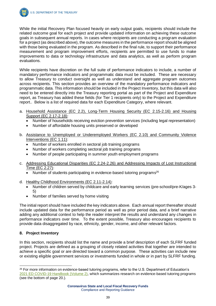

While the initial Recovery Plan focused heavily on early output goals, recipients should include the related outcome goal for each project and provide updated information on achieving these outcome goals in subsequent annual reports. In cases where recipients are conducting a program evaluation for a project (as described above), the outcome measures in the performance report should be aligned with those being evaluated in the program. As described in the final rule, to support their performance measurement and program improvement efforts, recipients are permitted to use funds to make improvements to data or technology infrastructure and data analytics, as well as perform program evaluations.

While recipients have discretion on the full suite of performance indicators to include, a number of mandatory performance indicators and programmatic data must be included. These are necessary to allow Treasury to conduct oversight as well as understand and aggregate program outcomes across recipients. This section provides an overview of the mandatory performance indicators and programmatic data. This information should be included in the Project Inventory, but this data will also need to be entered directly into the Treasury reporting portal as part of the Project and Expenditure report, as Treasury has added these fields (for Tier 1 recipients only) to the Project and Expenditure report.. Below is a list of required data for each Expenditure Category, where relevant.

- a. Household Assistance (EC 2.2), Long-Term Housing Security (EC 2.15-2.16) and Housing Support (EC 2.17-2.18):
	- Number of households receiving eviction prevention services (including legal representation)
	- Number of affordable housing units preserved or developed
- b. Assistance to Unemployed or Underemployed Workers (EC 2.10) and Community Violence Interventions (EC 1.11):
	- Number of workers enrolled in sectoral job training programs
	- Number of workers completing sectoral job training programs
	- Number of people participating in summer youth employment programs
- c. Addressing Educational Disparities (EC 2.24-2.26) and Addressing Impacts of Lost Instructional Time (EC 2.27):
	- Number of students participating in evidence-based tutoring programs<sup>26</sup>
- d. Healthy Childhood Environments (EC 2.11-2.14):
	- Number of children served by childcare and early learning services (pre-school/pre-K/ages 3- 5)
	- Number of families served by home visiting

The initial report should have included the key indicators above. Each annual report thereafter should include updated data for the performance period as well as prior period data, and a brief narrative adding any additional context to help the reader interpret the results and understand any changes in performance indicators over time. To the extent possible, Treasury also encourages recipients to provide data disaggregated by race, ethnicity, gender, income, and other relevant factors.

#### **8. Project Inventory**

In this section, recipients should list the name and provide a brief description of each SLFRF funded project. Projects are defined as a grouping of closely related activities that together are intended to achieve a specific goal or are directed toward a common purpose. These activities can include new or existing eligible government services or investments funded in whole or in part by SLFRF funding.

<sup>-</sup><sup>26</sup> For more information on evidence-based tutoring programs, refer to the U.S. Department of Education's [2021 ED COVID-19 Handbook \(Volume 2\),](https://www2.ed.gov/documents/coronavirus/reopening-2.pdf) which summarizes research on evidence-based tutoring programs (see the bottom of page 20.).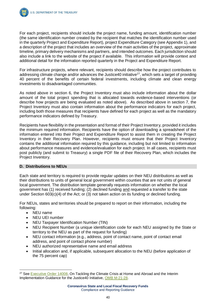

For each project, recipients should include the project name, funding amount, identification number (the same identification number created by the recipient that matches the identification number used in the quarterly Project and Expenditure Report), project Expenditure Category (see Appendix 1), and a description of the project that includes an overview of the main activities of the project, approximate timeline, primary delivery mechanisms and partners, and intended outcomes. Each jurisdiction should also include a link to the website of the project if available. This information will provide context and additional detail for the information reported quarterly in the Project and Expenditure Report.

For infrastructure projects, where relevant, recipients should describe how the project contributes to addressing climate change and/or advances the Justice40 initiative<sup>27</sup>, which sets a target of providing 40 percent of the benefits of certain federal investments, including climate and clean energy investments to disadvantaged communities.

As noted above in section 6, the Project Inventory must also include information about the dollar amount of the total project spending that is allocated towards evidence-based interventions (or describe how projects are being evaluated as noted above). As described above in section 7, the Project Inventory must also contain information about the performance indicators for each project, including both those measures that recipients have defined for each project as well as the mandatory performance indicators defined by Treasury.

Recipients have flexibility in the presentation and format of their Project Inventory, provided it includes the minimum required information. Recipients have the option of downloading a spreadsheet of the information entered into their Project and Expenditure Report to assist them in creating the Project Inventory in their Recovery Plan. However, recipients must ensure that their Project Inventory contains the additional information required by this guidance, including but not limited to information about performance measures and evidence/evaluation for each project. In all cases, recipients must post publicly (and submit to Treasury) a single PDF file of their Recovery Plan, which includes the Project Inventory.

#### **D. Distributions to NEUs**

Each state and territory is required to provide regular updates on their NEU distributions as well as their distributions to units of general local government within counties that are not units of general local government. The distribution template generally requests information on whether the local government has (1) received funding; (2) declined funding and requested a transfer to the state under Section 603(c)(4) of the Act; or (3) not taken action on its funding or declined funding.

For NEUs, states and territories should be prepared to report on their information, including the following:

• NEU name

 $\overline{a}$ 

- NEU UEI number
- NEU Taxpayer Identification Number (TIN)
- NEU Recipient Number (a unique identification code for each NEU assigned by the State or territory to the NEU as part of the request for funding)
- NEU contact information (e.g., address, point of contact name, point of contact email address, and point of contact phone number)
- NEU authorized representative name and email address
- Initial allocation and, if applicable, subsequent allocation to the NEU (before application of the 75 percent cap)

<sup>&</sup>lt;sup>27</sup> See [Executive Order 14008,](https://www.whitehouse.gov/briefing-room/presidential-actions/2021/01/27/executive-order-on-tackling-the-climate-crisis-at-home-and-abroad/) On Tackling the Climate Crisis at Home and Abroad and the Interim Implementation Guidance for the Justice40 Initiative, [OMB M-21-28.](https://www.whitehouse.gov/wp-content/uploads/2021/07/M-21-28.pdf)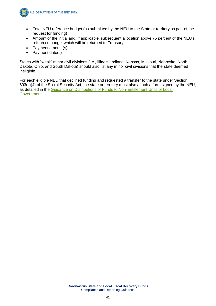

- Total NEU reference budget (as submitted by the NEU to the State or territory as part of the request for funding)
- Amount of the initial and, if applicable, subsequent allocation above 75 percent of the NEU's reference budget which will be returned to Treasury
- Payment amount(s)
- Payment date(s)

States with "weak" minor civil divisions (i.e., Illinois, Indiana, Kansas, Missouri, Nebraska, North Dakota, Ohio, and South Dakota) should also list any minor civil divisions that the state deemed ineligible.

For each eligible NEU that declined funding and requested a transfer to the state under Section 603(c)(4) of the Social Security Act, the state or territory must also attach a form signed by the NEU, as detailed in the [Guidance on Distributions of Funds to Non-Entitlement Units of Local](https://home.treasury.gov/system/files/136/NEU_Guidance.pdf)  [Government.](https://home.treasury.gov/system/files/136/NEU_Guidance.pdf)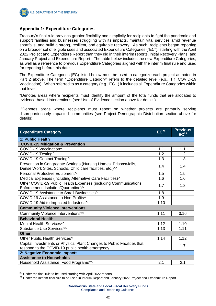

### **Appendix 1: Expenditure Categories**

Treasury's final rule provides greater flexibility and simplicity for recipients to fight the pandemic and support families and businesses struggling with its impacts, maintain vital services amid revenue shortfalls, and build a strong, resilient, and equitable recovery. As such, recipients began reporting on a broader set of eligible uses and associated Expenditure Categories ("EC"), starting with the April 2022 Project and Expenditure Report than they did in their interim reports, initial Recovery Plans, and January Project and Expenditure Report. The table below includes the new Expenditure Categories, as well as a reference to previous Expenditure Categories aligned with the interim final rule and used for reporting before this date.

The Expenditure Categories (EC) listed below must be used to categorize each project as noted in Part 2 above. The term "Expenditure Category" refers to the detailed level (e.g., 1.1 COVID-19 Vaccination). When referred to as a category (e.g., EC 1) it includes all Expenditure Categories within that level.

\*Denotes areas where recipients must identify the amount of the total funds that are allocated to evidence-based interventions (see Use of Evidence section above for details)

^Denotes areas where recipients must report on whether projects are primarily serving disproportionately impacted communities (see Project Demographic Distribution section above for details)

| <b>Expenditure Category</b>                                                                                                   | EC <sup>28</sup> | <b>Previous</b><br>EC <sup>29</sup> |  |  |
|-------------------------------------------------------------------------------------------------------------------------------|------------------|-------------------------------------|--|--|
| 1: Public Health                                                                                                              |                  |                                     |  |  |
| <b>COVID-19 Mitigation &amp; Prevention</b>                                                                                   |                  |                                     |  |  |
| COVID-19 Vaccination^                                                                                                         | 1.1              | 1.1                                 |  |  |
| COVID-19 Testing^                                                                                                             | 1.2              | 1.2                                 |  |  |
| COVID-19 Contact Tracing^                                                                                                     | 1.3              | 1.3                                 |  |  |
| Prevention in Congregate Settings (Nursing Homes, Prisons/Jails,<br>Dense Work Sites, Schools, Child care facilities, etc.)*^ | 1.4              | 1.4                                 |  |  |
| Personal Protective Equipment^                                                                                                | 1.5              | 1.5                                 |  |  |
| Medical Expenses (including Alternative Care Facilities)^                                                                     | 1.6              | 1.6                                 |  |  |
| Other COVID-19 Public Health Expenses (including Communications,<br>Enforcement, Isolation/Quarantine)^                       | 1.7              | 1.8                                 |  |  |
| COVID-19 Assistance to Small Businesses^                                                                                      | 1.8              |                                     |  |  |
| COVID 19 Assistance to Non-Profits^                                                                                           | 1.9              |                                     |  |  |
| COVID-19 Aid to Impacted Industries^                                                                                          | 1.10             |                                     |  |  |
| <b>Community Violence Interventions</b>                                                                                       |                  |                                     |  |  |
| Community Violence Interventions*^                                                                                            | 1.11             | 3.16                                |  |  |
| <b>Behavioral Health</b>                                                                                                      |                  |                                     |  |  |
| Mental Health Services*^                                                                                                      | 1.12             | 1.10                                |  |  |
| Substance Use Services*^                                                                                                      | 1.13             | 1.11                                |  |  |
| <b>Other</b>                                                                                                                  |                  |                                     |  |  |
| Other Public Health Services^                                                                                                 | 1.14             | 1.12                                |  |  |
| Capital Investments or Physical Plant Changes to Public Facilities that<br>respond to the COVID-19 public health emergency    |                  | 1.7                                 |  |  |
| 2: Negative Economic Impacts                                                                                                  |                  |                                     |  |  |
| <b>Assistance to Households</b>                                                                                               |                  |                                     |  |  |
| Household Assistance: Food Programs*^                                                                                         | 2.1              | 2.1                                 |  |  |

<sup>28</sup> Under the final rule to be used starting with April 2022 reports

 $\overline{a}$ 

<sup>&</sup>lt;sup>29</sup> Under the interim final rule to be used in Interim Report and January 2022 Project and Expenditure Report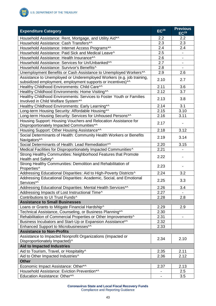

| <b>Expenditure Category</b>                                                          | $EC^{28}$                | <b>Previous</b><br>EC <sup>29</sup> |
|--------------------------------------------------------------------------------------|--------------------------|-------------------------------------|
| Household Assistance: Rent, Mortgage, and Utility Aid*^                              | 2.2                      | 2.2                                 |
| Household Assistance: Cash Transfers*^                                               | 2.3                      | 2.3                                 |
| Household Assistance: Internet Access Programs*^                                     | 2.4                      | 2.4                                 |
| Household Assistance: Paid Sick and Medical Leave^                                   | 2.5                      |                                     |
| Household Assistance: Health Insurance*^                                             | 2.6                      |                                     |
| Household Assistance: Services for Un/Unbanked*^                                     | 2.7                      |                                     |
| Household Assistance: Survivor's Benefits^                                           | 2.8                      |                                     |
| Unemployment Benefits or Cash Assistance to Unemployed Workers*^                     | 2.9                      | 2.6                                 |
| Assistance to Unemployed or Underemployed Workers (e.g. job training,                |                          |                                     |
| subsidized employment, employment supports or incentives)*^                          | 2.10                     | 2.7                                 |
| Healthy Childhood Environments: Child Care*^                                         | 2.11                     | 3.6                                 |
| Healthy Childhood Environments: Home Visiting*^                                      | 2.12                     | 3.7                                 |
| Healthy Childhood Environments: Services to Foster Youth or Families                 |                          |                                     |
| Involved in Child Welfare System*^                                                   | 2.13                     | 3.8                                 |
| Healthy Childhood Environments: Early Learning*^                                     | 2.14                     | 3.1                                 |
| Long-term Housing Security: Affordable Housing*^                                     | 2.15                     | 3.10                                |
| Long-term Housing Security: Services for Unhoused Persons*^                          | 2.16                     | 3.11                                |
| Housing Support: Housing Vouchers and Relocation Assistance for                      |                          |                                     |
| Disproportionately Impacted Communities*^                                            | 2.17                     |                                     |
| Housing Support: Other Housing Assistance*^                                          | 2.18                     | 3.12                                |
| Social Determinants of Health: Community Health Workers or Benefits                  |                          |                                     |
| Navigators*^                                                                         | 2.19                     | 3.14                                |
| Social Determinants of Health: Lead Remediation*^                                    | 2.20                     | 3.15                                |
| Medical Facilities for Disproportionately Impacted Communities^                      | 2.21                     |                                     |
| Strong Healthy Communities: Neighborhood Features that Promote<br>Health and Safety^ | 2.22                     |                                     |
| Strong Healthy Communities: Demolition and Rehabilitation of<br>Properties^          | 2.23                     |                                     |
| Addressing Educational Disparities: Aid to High-Poverty Districts^                   | 2.24                     | 3.2                                 |
| Addressing Educational Disparities: Academic, Social, and Emotional                  |                          |                                     |
| Services*^                                                                           | 2.25                     | 3.3                                 |
| Addressing Educational Disparities: Mental Health Services*^                         | 2.26                     | 3.4                                 |
| Addressing Impacts of Lost Instructional Time^                                       | 2.27                     |                                     |
| Contributions to UI Trust Funds^                                                     | 2.28                     | 2.8                                 |
| <b>Assistance to Small Businesses</b>                                                |                          |                                     |
| Loans or Grants to Mitigate Financial Hardship^                                      | 2.29                     | 2.9                                 |
| Technical Assistance, Counseling, or Business Planning*^                             | 2.30                     |                                     |
| Rehabilitation of Commercial Properties or Other Improvements^                       | 2.31                     | $\overline{\phantom{a}}$            |
| Business Incubators and Start-Up or Expansion Assistance*^                           | 2.32                     |                                     |
| Enhanced Support to Microbusinesses*^                                                | 2.33                     |                                     |
| <b>Assistance to Non-Profits</b>                                                     |                          |                                     |
| Assistance to Impacted Nonprofit Organizations (Impacted or                          |                          |                                     |
| Disproportionately Impacted)^                                                        | 2.34                     | 2.10                                |
| <b>Aid to Impacted Industries</b>                                                    |                          |                                     |
| Aid to Tourism, Travel, or Hospitality^                                              | 2.35                     | 2.11                                |
| Aid to Other Impacted Industries^                                                    | 2.36                     | 2.12                                |
| <b>Other</b>                                                                         |                          |                                     |
| Economic Impact Assistance: Other*^                                                  | 2.37                     | 2.13                                |
| Household Assistance: Eviction Prevention*^                                          | $\overline{\phantom{a}}$ | 2.5                                 |
| Education Assistance: Other*^                                                        |                          | 3.5                                 |
|                                                                                      |                          |                                     |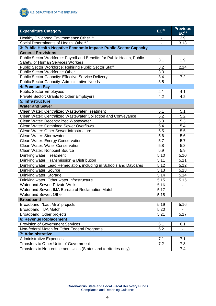

| <b>Expenditure Category</b>                                             | EC <sup>28</sup> | <b>Previous</b><br>EC <sup>29</sup> |
|-------------------------------------------------------------------------|------------------|-------------------------------------|
| Healthy Childhood Environments: Other*^                                 |                  | 3.9                                 |
| Social Determinants of Health: Other*^                                  |                  | 3.13                                |
| 3: Public Health-Negative Economic Impact: Public Sector Capacity       |                  |                                     |
| <b>General Provisions</b>                                               |                  |                                     |
| Public Sector Workforce: Payroll and Benefits for Public Health, Public |                  |                                     |
| Safety, or Human Services Workers                                       | 3.1              | 1.9                                 |
| Public Sector Workforce: Rehiring Public Sector Staff                   | 3.2              | 2.14                                |
| Public Sector Workforce: Other                                          | 3.3              |                                     |
| Public Sector Capacity: Effective Service Delivery                      | 3.4              | 7.2                                 |
| <b>Public Sector Capacity: Administrative Needs</b>                     | 3.5              |                                     |
| 4: Premium Pay                                                          |                  |                                     |
| <b>Public Sector Employees</b>                                          | 4.1              | 4.1                                 |
| Private Sector: Grants to Other Employers                               | 4.2              | 4.2                                 |
| 5: Infrastructure                                                       |                  |                                     |
| <b>Water and Sewer</b>                                                  |                  |                                     |
| <b>Clean Water: Centralized Wastewater Treatment</b>                    | 5.1              | 5.1                                 |
| Clean Water: Centralized Wastewater Collection and Conveyance           | 5.2              | 5.2                                 |
| Clean Water: Decentralized Wastewater                                   | 5.3              | 5.3                                 |
| <b>Clean Water: Combined Sewer Overflows</b>                            | 5.4              | 5.4                                 |
| Clean Water: Other Sewer Infrastructure                                 | 5.5              | 5.5                                 |
| Clean Water: Stormwater                                                 |                  | 5.6                                 |
| Clean Water: Energy Conservation                                        | 5.6<br>5.7       | 5.7                                 |
| <b>Clean Water: Water Conservation</b>                                  |                  | 5.8                                 |
| Clean Water: Nonpoint Source                                            |                  | 5.9                                 |
| Drinking water: Treatment                                               |                  | 5.10                                |
| Drinking water: Transmission & Distribution                             | 5.11             | 5.11                                |
| Drinking water: Lead Remediation, including in Schools and Daycares     | 5.12             | 5.12                                |
| Drinking water: Source                                                  | 5.13             | 5.13                                |
| Drinking water: Storage                                                 | 5.14             | 5.14                                |
| Drinking water: Other water infrastructure                              | 5.15             | 5.15                                |
| <b>Water and Sewer: Private Wells</b>                                   | 5.16             |                                     |
| Water and Sewer: IIJA Bureau of Reclamation Match                       | 5.17             |                                     |
| Water and Sewer: Other                                                  | 5.18             |                                     |
| <b>Broadband</b>                                                        |                  |                                     |
| Broadband: "Last Mile" projects                                         | 5.19             | 5.16                                |
| Broadband: IIJA Match                                                   | 5.20             |                                     |
| Broadband: Other projects                                               | 5.21             | 5.17                                |
| 6: Revenue Replacement                                                  |                  |                                     |
| <b>Provision of Government Services</b>                                 | 6.1              | 6.1                                 |
| Non-federal Match for Other Federal Programs                            | 6.2              |                                     |
| 7: Administrative                                                       |                  |                                     |
| <b>Administrative Expenses</b>                                          | 7.1              | 7.1                                 |
| <b>Transfers to Other Units of Government</b>                           | 7.2              | 7.3                                 |
| Transfers to Non-entitlement Units (States and territories only)        |                  | 7.4                                 |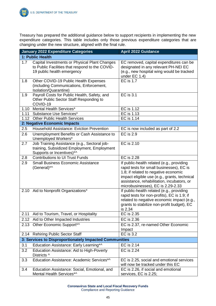Treasury has prepared the additional guidance below to support recipients in implementing the new expenditure categories. This table includes only those previous expenditure categories that are changing under the new structure, aligned with the final rule.

|      | <b>January 2022 Expenditure Categories</b>                                                                                     | <b>April 2022 Guidance</b>                                                                                                                                                                                                                                       |
|------|--------------------------------------------------------------------------------------------------------------------------------|------------------------------------------------------------------------------------------------------------------------------------------------------------------------------------------------------------------------------------------------------------------|
|      | 1: Public Health                                                                                                               |                                                                                                                                                                                                                                                                  |
| 1.7  | Capital Investments or Physical Plant Changes<br>to Public Facilities that respond to the COVID-<br>19 public health emergency | EC removed, capital expenditures can be<br>designated in any relevant PH-NEI EC<br>(e.g., new hospital wing would be tracked<br>under EC 1.4)                                                                                                                    |
| 1.8  | Other COVID-19 Public Health Expenses<br>(including Communications, Enforcement,<br>Isolation/Quarantine)                      | <b>EC is 1.7</b>                                                                                                                                                                                                                                                 |
| 1.9  | Payroll Costs for Public Health, Safety, and<br>Other Public Sector Staff Responding to<br>COVID-19                            | <b>EC</b> is 3.1                                                                                                                                                                                                                                                 |
|      | 1.10 Mental Health Services*                                                                                                   | EC is 1.12                                                                                                                                                                                                                                                       |
| 1.11 | Substance Use Services*                                                                                                        | EC is 1.13                                                                                                                                                                                                                                                       |
| 1.12 | <b>Other Public Health Services</b>                                                                                            | EC is 1.14                                                                                                                                                                                                                                                       |
|      | 2: Negative Economic Impacts                                                                                                   |                                                                                                                                                                                                                                                                  |
| 2.5  | <b>Household Assistance: Eviction Prevention</b>                                                                               | EC is now included as part of 2.2                                                                                                                                                                                                                                |
| 2.6  | Unemployment Benefits or Cash Assistance to<br>Unemployed Workers*                                                             | <b>EC</b> is 2.9                                                                                                                                                                                                                                                 |
| 2.7  | Job Training Assistance (e.g., Sectoral job-<br>training, Subsidized Employment, Employment<br>Supports or Incentives)*^       | EC is 2.10                                                                                                                                                                                                                                                       |
| 2.8  | <b>Contributions to UI Trust Funds</b>                                                                                         | EC is 2.28                                                                                                                                                                                                                                                       |
| 2.9  | <b>Small Business Economic Assistance</b><br>(General)*^                                                                       | If public-health related (e.g., providing<br>rapid tests for small businesses), EC is<br>1.8; if related to negative economic<br>impact eligible use (e.g., grants, technical<br>assistance, rehabilitation, incubators, or<br>microbusinesses), EC is 2.29-2.33 |
|      | 2.10 Aid to Nonprofit Organizations*                                                                                           | If public-health related (e.g., providing<br>rapid tests for non-profits), EC is 1.9; if<br>related to negative economic impact (e.g.,<br>grants to stabilize non-profit budget), EC<br>is 2.34                                                                  |
| 2.11 | Aid to Tourism, Travel, or Hospitality                                                                                         | EC is 2.35                                                                                                                                                                                                                                                       |
| 2.12 | Aid to Other Impacted Industries                                                                                               | EC is 2.36                                                                                                                                                                                                                                                       |
| 2.13 | Other Economic Support*^                                                                                                       | EC is 2.37, re-named Other Economic<br>Impact                                                                                                                                                                                                                    |
| 2.14 | <b>Rehiring Public Sector Staff</b>                                                                                            | <b>EC</b> is 3.2                                                                                                                                                                                                                                                 |
|      | 3: Services to Disproportionately Impacted Communities                                                                         |                                                                                                                                                                                                                                                                  |
| 3.1  | Education Assistance: Early Learning*^                                                                                         | EC is 2.14                                                                                                                                                                                                                                                       |
| 3.2  | Education Assistance: Aid to High-Poverty<br>Districts ^                                                                       | <b>EC is 2.24</b>                                                                                                                                                                                                                                                |
| 3.3  | Education Assistance: Academic Services*^                                                                                      | EC is 2.25, social and emotional services<br>will now be tracked under this EC                                                                                                                                                                                   |
| 3.4  | Education Assistance: Social, Emotional, and<br>Mental Health Services*^                                                       | EC is 2.26, if social and emotional<br>services, EC is 2.25;                                                                                                                                                                                                     |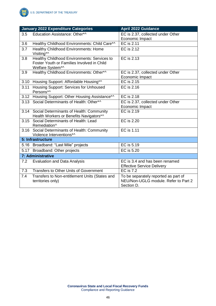|      | <b>January 2022 Expenditure Categories</b>                                                                    | <b>April 2022 Guidance</b>                                                                 |
|------|---------------------------------------------------------------------------------------------------------------|--------------------------------------------------------------------------------------------|
| 3.5  | Education Assistance: Other*^                                                                                 | EC is 2.37, collected under Other<br>Economic Impact                                       |
| 3.6  | Healthy Childhood Environments: Child Care*^                                                                  | EC is 2.11                                                                                 |
| 3.7  | <b>Healthy Childhood Environments: Home</b><br>Visiting*^                                                     | EC is 2.12                                                                                 |
| 3.8  | Healthy Childhood Environments: Services to<br>Foster Youth or Families Involved in Child<br>Welfare System*^ | EC is 2.13                                                                                 |
| 3.9  | Healthy Childhood Environments: Other*^                                                                       | EC is 2.37, collected under Other<br>Economic Impact                                       |
|      | 3.10 Housing Support: Affordable Housing*^                                                                    | EC is 2.15                                                                                 |
| 3.11 | <b>Housing Support: Services for Unhoused</b><br>Persons*^                                                    | EC is 2.16                                                                                 |
|      | 3.12 Housing Support: Other Housing Assistance*^                                                              | EC is 2.18                                                                                 |
| 3.13 | Social Determinants of Health: Other*^                                                                        | EC is 2.37, collected under Other<br>Economic Impact                                       |
| 3.14 | Social Determinants of Health: Community<br>Health Workers or Benefits Navigators*^                           | EC is 2.19                                                                                 |
| 3.15 | Social Determinants of Health: Lead<br>Remediation^                                                           | <b>EC is 2.20</b>                                                                          |
|      | 3.16 Social Determinants of Health: Community<br>Violence Interventions*^                                     | EC is 1.11                                                                                 |
|      | 5: Infrastructure                                                                                             |                                                                                            |
|      | 5.16 Broadband: "Last Mile" projects                                                                          | EC is 5.19                                                                                 |
|      | 5.17 Broadband: Other projects                                                                                | EC is 5.20                                                                                 |
|      | 7: Administrative                                                                                             |                                                                                            |
| 7.2  | <b>Evaluation and Data Analysis</b>                                                                           | EC is 3.4 and has been renamed<br><b>Effective Service Delivery</b>                        |
| 7.3  | <b>Transfers to Other Units of Government</b>                                                                 | <b>EC is 7.2</b>                                                                           |
| 7.4  | Transfers to Non-entitlement Units (States and<br>territories only)                                           | To be separately reported as part of<br>NEU/Non-UGLG module. Refer to Part 2<br>Section D. |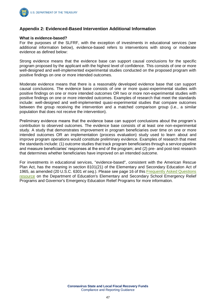

### **Appendix 2: Evidenced-Based Intervention Additional Information**

#### **What is evidence-based?**

For the purposes of the SLFRF, with the exception of investments in educational services (see additional information below), evidence-based refers to interventions with strong or moderate evidence as defined below:

Strong evidence means that the evidence base can support causal conclusions for the specific program proposed by the applicant with the highest level of confidence. This consists of one or more well-designed and well-implemented experimental studies conducted on the proposed program with positive findings on one or more intended outcomes.

Moderate evidence means that there is a reasonably developed evidence base that can support causal conclusions. The evidence base consists of one or more quasi-experimental studies with positive findings on one or more intended outcomes OR two or more non-experimental studies with positive findings on one or more intended outcomes. Examples of research that meet the standards include: well-designed and well-implemented quasi-experimental studies that compare outcomes between the group receiving the intervention and a matched comparison group (i.e., a similar population that does not receive the intervention).

Preliminary evidence means that the evidence base can support conclusions about the program's contribution to observed outcomes. The evidence base consists of at least one non-experimental study. A study that demonstrates improvement in program beneficiaries over time on one or more intended outcomes OR an implementation (process evaluation) study used to learn about and improve program operations would constitute preliminary evidence. Examples of research that meet the standards include: (1) outcome studies that track program beneficiaries through a service pipeline and measure beneficiaries' responses at the end of the program; and (2) pre- and post-test research that determines whether beneficiaries have improved on an intended outcome.

For investments in educational services, "evidence-based", consistent with the American Rescue Plan Act, has the meaning in section 8101(21) of the Elementary and Secondary Education Act of 1965, as amended (20 U.S.C. 6301 *et seq*.). Please see page 16 of this [Frequently Asked Questions](https://oese.ed.gov/files/2021/05/ESSER.GEER_.FAQs_5.26.21_745AM_FINALb0cd6833f6f46e03ba2d97d30aff953260028045f9ef3b18ea602db4b32b1d99.pdf)  [resource](https://oese.ed.gov/files/2021/05/ESSER.GEER_.FAQs_5.26.21_745AM_FINALb0cd6833f6f46e03ba2d97d30aff953260028045f9ef3b18ea602db4b32b1d99.pdf) on the Department of Education's Elementary and Secondary School Emergency Relief Programs and Governor's Emergency Education Relief Programs for more information.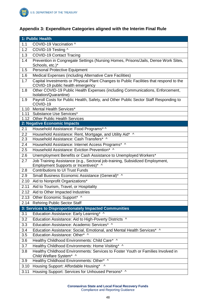# **Appendix 3: Expenditure Categories aligned with the Interim Final Rule**

|            | 1: Public Health                                                                                                                                |  |
|------------|-------------------------------------------------------------------------------------------------------------------------------------------------|--|
| 1.1        | COVID-19 Vaccination ^                                                                                                                          |  |
| 1.2        | COVID-19 Testing ^                                                                                                                              |  |
| 1.3        | <b>COVID-19 Contact Tracing</b>                                                                                                                 |  |
| 1.4        | Prevention in Congregate Settings (Nursing Homes, Prisons/Jails, Dense Work Sites,<br>Schools, etc.)*                                           |  |
| 1.5        | Personal Protective Equipment                                                                                                                   |  |
| 1.6        | Medical Expenses (including Alternative Care Facilities)                                                                                        |  |
| 1.7        | Capital Investments or Physical Plant Changes to Public Facilities that respond to the<br>COVID-19 public health emergency                      |  |
| 1.8        | Other COVID-19 Public Health Expenses (including Communications, Enforcement,<br>Isolation/Quarantine)                                          |  |
| 1.9        | Payroll Costs for Public Health, Safety, and Other Public Sector Staff Responding to<br>COVID-19                                                |  |
| 1.10       | Mental Health Services*                                                                                                                         |  |
|            | 1.11 Substance Use Services*                                                                                                                    |  |
|            | 1.12 Other Public Health Services                                                                                                               |  |
|            | 2: Negative Economic Impacts                                                                                                                    |  |
| 2.1        | Household Assistance: Food Programs* ^                                                                                                          |  |
| 2.2<br>2.3 | Household Assistance: Rent, Mortgage, and Utility Aid* ^<br>Household Assistance: Cash Transfers* ^                                             |  |
|            |                                                                                                                                                 |  |
| 2.4<br>2.5 | Household Assistance: Internet Access Programs* ^                                                                                               |  |
| 2.6        | Household Assistance: Eviction Prevention* ^                                                                                                    |  |
| 2.7        | Unemployment Benefits or Cash Assistance to Unemployed Workers*<br>Job Training Assistance (e.g., Sectoral job-training, Subsidized Employment, |  |
|            | Employment Supports or Incentives)* ^                                                                                                           |  |
| 2.8        | <b>Contributions to UI Trust Funds</b>                                                                                                          |  |
| 2.9        | Small Business Economic Assistance (General)* ^                                                                                                 |  |
| 2.10       | Aid to Nonprofit Organizations*                                                                                                                 |  |
| 2.11       | Aid to Tourism, Travel, or Hospitality                                                                                                          |  |
| 2.12       | Aid to Other Impacted Industries                                                                                                                |  |
|            | 2.13 Other Economic Support* ^                                                                                                                  |  |
|            | 2.14 Rehiring Public Sector Staff                                                                                                               |  |
|            | 3: Services to Disproportionately Impacted Communities                                                                                          |  |
| 3.1        | Education Assistance: Early Learning* ^                                                                                                         |  |
| 3.2        | Education Assistance: Aid to High-Poverty Districts ^                                                                                           |  |
| 3.3        | Education Assistance: Academic Services* ^                                                                                                      |  |
| 3.4        | Education Assistance: Social, Emotional, and Mental Health Services* ^                                                                          |  |
| 3.5        | Education Assistance: Other* ^                                                                                                                  |  |
| 3.6        | Healthy Childhood Environments: Child Care* ^                                                                                                   |  |
| 3.7        | Healthy Childhood Environments: Home Visiting* ^                                                                                                |  |
| 3.8        | Healthy Childhood Environments: Services to Foster Youth or Families Involved in<br>Child Welfare System* ^                                     |  |
| 3.9        | Healthy Childhood Environments: Other* ^                                                                                                        |  |
| 3.10       | Housing Support: Affordable Housing* ^                                                                                                          |  |
| 3.11       | Housing Support: Services for Unhoused Persons* ^                                                                                               |  |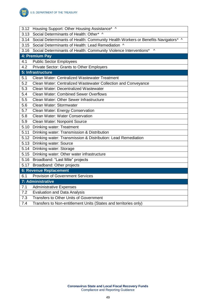

|      | 3.12 Housing Support: Other Housing Assistance* ^                                      |  |  |
|------|----------------------------------------------------------------------------------------|--|--|
| 3.13 | Social Determinants of Health: Other* ^                                                |  |  |
|      | 3.14 Social Determinants of Health: Community Health Workers or Benefits Navigators* ^ |  |  |
| 3.15 | Social Determinants of Health: Lead Remediation ^                                      |  |  |
|      | 3.16 Social Determinants of Health: Community Violence Interventions* ^                |  |  |
|      | 4: Premium Pay                                                                         |  |  |
| 4.1  | <b>Public Sector Employees</b>                                                         |  |  |
| 4.2  | Private Sector: Grants to Other Employers                                              |  |  |
|      | 5: Infrastructure                                                                      |  |  |
| 5.1  | Clean Water: Centralized Wastewater Treatment                                          |  |  |
| 5.2  | Clean Water: Centralized Wastewater Collection and Conveyance                          |  |  |
| 5.3  | Clean Water: Decentralized Wastewater                                                  |  |  |
| 5.4  | <b>Clean Water: Combined Sewer Overflows</b>                                           |  |  |
| 5.5  | Clean Water: Other Sewer Infrastructure                                                |  |  |
| 5.6  | Clean Water: Stormwater                                                                |  |  |
| 5.7  | Clean Water: Energy Conservation                                                       |  |  |
| 5.8  | Clean Water: Water Conservation                                                        |  |  |
| 5.9  | Clean Water: Nonpoint Source                                                           |  |  |
| 5.10 | <b>Drinking water: Treatment</b>                                                       |  |  |
| 5.11 | Drinking water: Transmission & Distribution                                            |  |  |
| 5.12 | Drinking water: Transmission & Distribution: Lead Remediation                          |  |  |
|      | 5.13 Drinking water: Source                                                            |  |  |
|      | 5.14 Drinking water: Storage                                                           |  |  |
| 5.15 | Drinking water: Other water infrastructure                                             |  |  |
| 5.16 | Broadband: "Last Mile" projects                                                        |  |  |
| 5.17 | Broadband: Other projects                                                              |  |  |
|      | <b>6: Revenue Replacement</b>                                                          |  |  |
| 6.1  | <b>Provision of Government Services</b>                                                |  |  |
|      | 7: Administrative                                                                      |  |  |
| 7.1  | <b>Administrative Expenses</b>                                                         |  |  |
| 7.2  | <b>Evaluation and Data Analysis</b>                                                    |  |  |
| 7.3  | Transfers to Other Units of Government                                                 |  |  |
| 7.4  | Transfers to Non-entitlement Units (States and territories only)                       |  |  |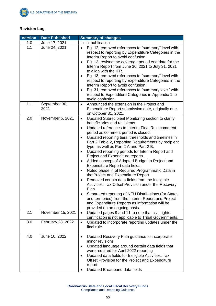

## **Revision Log**

| <b>Version</b> | <b>Date Published</b> | <b>Summary of changes</b>                                                                                                                                                                                                                                                                                                                                                                                                                                                                                                                                                                                                                                                                                                                                                                                                                                                                                                                                                                                                |  |
|----------------|-----------------------|--------------------------------------------------------------------------------------------------------------------------------------------------------------------------------------------------------------------------------------------------------------------------------------------------------------------------------------------------------------------------------------------------------------------------------------------------------------------------------------------------------------------------------------------------------------------------------------------------------------------------------------------------------------------------------------------------------------------------------------------------------------------------------------------------------------------------------------------------------------------------------------------------------------------------------------------------------------------------------------------------------------------------|--|
| 1.0            | June 17, 2021         | Initial publication                                                                                                                                                                                                                                                                                                                                                                                                                                                                                                                                                                                                                                                                                                                                                                                                                                                                                                                                                                                                      |  |
| 1.1            | June 24, 2021         | Pg. 12, removed references to "summary" level with<br>$\bullet$<br>respect to reporting by Expenditure Categories in the<br>Interim Report to avoid confusion.<br>Pg. 13, revised the coverage period end date for the<br>Interim Report from June 30, 2021 to July 31, 2021<br>to align with the IFR.<br>Pg. 13, removed references to "summary" level with<br>$\bullet$<br>respect to reporting by Expenditure Categories in the<br>Interim Report to avoid confusion.<br>Pg. 31, removed references to "summary level" with<br>٠<br>respect to Expenditure Categories in Appendix 1 to<br>avoid confusion.                                                                                                                                                                                                                                                                                                                                                                                                            |  |
| 1.1            | September 30,<br>2021 | Announced the extension in the Project and<br>$\bullet$<br>Expenditure Report submission date, originally due<br>on October 31, 2021.                                                                                                                                                                                                                                                                                                                                                                                                                                                                                                                                                                                                                                                                                                                                                                                                                                                                                    |  |
| 2.0            | November 5, 2021      | Updated Subrecipient Monitoring section to clarify<br>$\bullet$<br>beneficiaries and recipients.<br>Updated references to Interim Final Rule comment<br>$\bullet$<br>period as comment period is closed.<br>Updated reporting tiers, thresholds and timelines in<br>Part 2 Table 2, Reporting Requirements by recipient<br>type, as well as Part 2 A and Part 2 B.<br>Updated reporting periods for Interim Report and<br>$\bullet$<br>Project and Expenditure reports.<br>Added concept of Adopted Budget to Project and<br>$\bullet$<br>Expenditure Report data fields.<br>Noted phase in of Required Programmatic Data in<br>$\bullet$<br>the Project and Expenditure Report.<br>Removed certain data fields from the Ineligible<br>$\bullet$<br>Activities: Tax Offset Provision under the Recovery<br>Plan.<br>Separated reporting of NEU Distributions (for States<br>٠<br>and territories) from the Interim Report and Project<br>and Expenditure Reports as information will be<br>provided on an ongoing basis. |  |
| 2.1            | November 15, 2021     | Updated pages 9 and 11 to note that civil rights<br>$\bullet$<br>certification is not applicable to Tribal Governments.                                                                                                                                                                                                                                                                                                                                                                                                                                                                                                                                                                                                                                                                                                                                                                                                                                                                                                  |  |
| 3.0            | February 28, 2022     | Updated to incorporate reporting updates under the<br>$\bullet$<br>final rule                                                                                                                                                                                                                                                                                                                                                                                                                                                                                                                                                                                                                                                                                                                                                                                                                                                                                                                                            |  |
| 4.0            | June 10, 2022         | Updated Recovery Plan guidance to incorporate<br>$\bullet$<br>minor revisions<br>Updated language around certain data fields that<br>$\bullet$<br>were required for April 2022 reporting<br>Updated data fields for Ineligible Activities: Tax<br>Offset Provision for the Project and Expenditure<br>report<br>Updated Broadband data fields                                                                                                                                                                                                                                                                                                                                                                                                                                                                                                                                                                                                                                                                            |  |